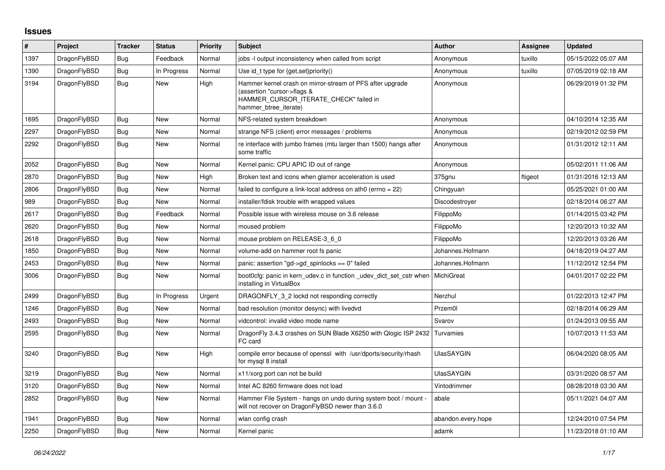## **Issues**

| #    | Project      | Tracker    | <b>Status</b> | <b>Priority</b> | <b>Subject</b>                                                                                                                                              | <b>Author</b>      | Assignee | <b>Updated</b>      |
|------|--------------|------------|---------------|-----------------|-------------------------------------------------------------------------------------------------------------------------------------------------------------|--------------------|----------|---------------------|
| 1397 | DragonFlyBSD | Bug        | Feedback      | Normal          | jobs -I output inconsistency when called from script                                                                                                        | Anonymous          | tuxillo  | 05/15/2022 05:07 AM |
| 1390 | DragonFlyBSD | <b>Bug</b> | In Progress   | Normal          | Use id_t type for {get, set}priority()                                                                                                                      | Anonymous          | tuxillo  | 07/05/2019 02:18 AM |
| 3194 | DragonFlyBSD | Bug        | New           | High            | Hammer kernel crash on mirror-stream of PFS after upgrade<br>(assertion "cursor->flags &<br>HAMMER_CURSOR_ITERATE_CHECK" failed in<br>hammer btree iterate) | Anonymous          |          | 06/29/2019 01:32 PM |
| 1695 | DragonFlyBSD | Bug        | New           | Normal          | NFS-related system breakdown                                                                                                                                | Anonymous          |          | 04/10/2014 12:35 AM |
| 2297 | DragonFlyBSD | <b>Bug</b> | New           | Normal          | strange NFS (client) error messages / problems                                                                                                              | Anonymous          |          | 02/19/2012 02:59 PM |
| 2292 | DragonFlyBSD | <b>Bug</b> | <b>New</b>    | Normal          | re interface with jumbo frames (mtu larger than 1500) hangs after<br>some traffic                                                                           | Anonymous          |          | 01/31/2012 12:11 AM |
| 2052 | DragonFlyBSD | <b>Bug</b> | New           | Normal          | Kernel panic: CPU APIC ID out of range                                                                                                                      | Anonymous          |          | 05/02/2011 11:06 AM |
| 2870 | DragonFlyBSD | <b>Bug</b> | New           | High            | Broken text and icons when glamor acceleration is used                                                                                                      | 375gnu             | ftigeot  | 01/31/2016 12:13 AM |
| 2806 | DragonFlyBSD | Bug        | New           | Normal          | failed to configure a link-local address on ath0 (errno = 22)                                                                                               | Chingyuan          |          | 05/25/2021 01:00 AM |
| 989  | DragonFlyBSD | <b>Bug</b> | New           | Normal          | installer/fdisk trouble with wrapped values                                                                                                                 | Discodestroyer     |          | 02/18/2014 06:27 AM |
| 2617 | DragonFlyBSD | <b>Bug</b> | Feedback      | Normal          | Possible issue with wireless mouse on 3.6 release                                                                                                           | FilippoMo          |          | 01/14/2015 03:42 PM |
| 2620 | DragonFlyBSD | Bug        | New           | Normal          | moused problem                                                                                                                                              | FilippoMo          |          | 12/20/2013 10:32 AM |
| 2618 | DragonFlyBSD | <b>Bug</b> | <b>New</b>    | Normal          | mouse problem on RELEASE-3_6_0                                                                                                                              | FilippoMo          |          | 12/20/2013 03:26 AM |
| 1850 | DragonFlyBSD | <b>Bug</b> | New           | Normal          | volume-add on hammer root fs panic                                                                                                                          | Johannes.Hofmann   |          | 04/18/2019 04:27 AM |
| 2453 | DragonFlyBSD | Bug        | New           | Normal          | panic: assertion "gd->gd_spinlocks == 0" failed                                                                                                             | Johannes.Hofmann   |          | 11/12/2012 12:54 PM |
| 3006 | DragonFlyBSD | <b>Bug</b> | <b>New</b>    | Normal          | boot0cfg: panic in kern udev.c in function udev dict set cstr when<br>installing in VirtualBox                                                              | MichiGreat         |          | 04/01/2017 02:22 PM |
| 2499 | DragonFlyBSD | Bug        | In Progress   | Urgent          | DRAGONFLY 3 2 lockd not responding correctly                                                                                                                | Nerzhul            |          | 01/22/2013 12:47 PM |
| 1246 | DragonFlyBSD | Bug        | New           | Normal          | bad resolution (monitor desync) with livedvd                                                                                                                | Przem0l            |          | 02/18/2014 06:29 AM |
| 2493 | DragonFlyBSD | Bug        | New           | Normal          | vidcontrol: invalid video mode name                                                                                                                         | Svarov             |          | 01/24/2013 09:55 AM |
| 2595 | DragonFlyBSD | Bug        | New           | Normal          | DragonFly 3.4.3 crashes on SUN Blade X6250 with Qlogic ISP 2432<br>FC card                                                                                  | Turvamies          |          | 10/07/2013 11:53 AM |
| 3240 | DragonFlyBSD | Bug        | New           | High            | compile error because of openssl with /usr/dports/security/rhash<br>for mysql 8 install                                                                     | <b>UlasSAYGIN</b>  |          | 06/04/2020 08:05 AM |
| 3219 | DragonFlyBSD | Bug        | <b>New</b>    | Normal          | x11/xorg port can not be build                                                                                                                              | <b>UlasSAYGIN</b>  |          | 03/31/2020 08:57 AM |
| 3120 | DragonFlyBSD | <b>Bug</b> | New           | Normal          | Intel AC 8260 firmware does not load                                                                                                                        | Vintodrimmer       |          | 08/28/2018 03:30 AM |
| 2852 | DragonFlyBSD | <b>Bug</b> | New           | Normal          | Hammer File System - hangs on undo during system boot / mount -<br>will not recover on DragonFlyBSD newer than 3.6.0                                        | abale              |          | 05/11/2021 04:07 AM |
| 1941 | DragonFlyBSD | Bug        | <b>New</b>    | Normal          | wlan config crash                                                                                                                                           | abandon.every.hope |          | 12/24/2010 07:54 PM |
| 2250 | DragonFlyBSD | Bug        | New           | Normal          | Kernel panic                                                                                                                                                | adamk              |          | 11/23/2018 01:10 AM |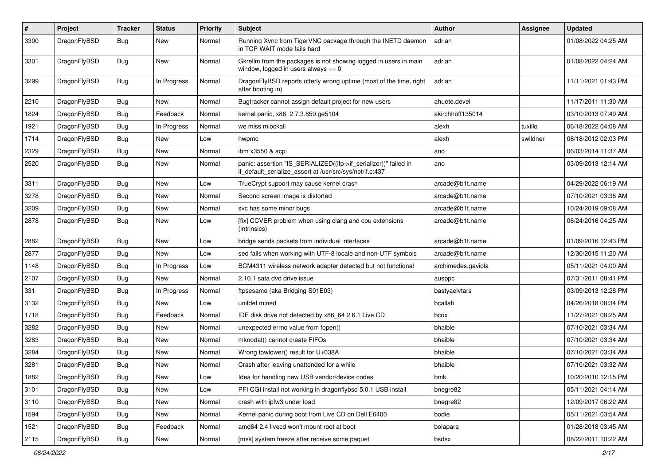| $\pmb{\#}$ | Project      | <b>Tracker</b> | <b>Status</b> | <b>Priority</b> | Subject                                                                                                                      | <b>Author</b>      | Assignee | <b>Updated</b>      |
|------------|--------------|----------------|---------------|-----------------|------------------------------------------------------------------------------------------------------------------------------|--------------------|----------|---------------------|
| 3300       | DragonFlyBSD | Bug            | New           | Normal          | Running Xvnc from TigerVNC package through the INETD daemon<br>in TCP WAIT mode fails hard                                   | adrian             |          | 01/08/2022 04:25 AM |
| 3301       | DragonFlyBSD | Bug            | <b>New</b>    | Normal          | Gkrellm from the packages is not showing logged in users in main<br>window, logged in users always $== 0$                    | adrian             |          | 01/08/2022 04:24 AM |
| 3299       | DragonFlyBSD | Bug            | In Progress   | Normal          | DragonFlyBSD reports utterly wrong uptime (most of the time, right<br>after booting in)                                      | adrian             |          | 11/11/2021 01:43 PM |
| 2210       | DragonFlyBSD | Bug            | New           | Normal          | Bugtracker cannot assign default project for new users                                                                       | ahuete.devel       |          | 11/17/2011 11:30 AM |
| 1824       | DragonFlyBSD | Bug            | Feedback      | Normal          | kernel panic, x86, 2.7.3.859.ge5104                                                                                          | akirchhoff135014   |          | 03/10/2013 07:49 AM |
| 1921       | DragonFlyBSD | Bug            | In Progress   | Normal          | we miss mlockall                                                                                                             | alexh              | tuxillo  | 06/18/2022 04:08 AM |
| 1714       | DragonFlyBSD | Bug            | New           | Low             | hwpmc                                                                                                                        | alexh              | swildner | 08/18/2012 02:03 PM |
| 2329       | DragonFlyBSD | Bug            | New           | Normal          | ibm x3550 & acpi                                                                                                             | ano                |          | 06/03/2014 11:37 AM |
| 2520       | DragonFlyBSD | Bug            | <b>New</b>    | Normal          | panic: assertion "IS_SERIALIZED((ifp->if_serializer))" failed in<br>if_default_serialize_assert at /usr/src/sys/net/if.c:437 | ano                |          | 03/09/2013 12:14 AM |
| 3311       | DragonFlyBSD | Bug            | <b>New</b>    | Low             | TrueCrypt support may cause kernel crash                                                                                     | arcade@b1t.name    |          | 04/29/2022 06:19 AM |
| 3278       | DragonFlyBSD | Bug            | <b>New</b>    | Normal          | Second screen image is distorted                                                                                             | arcade@b1t.name    |          | 07/10/2021 03:36 AM |
| 3209       | DragonFlyBSD | Bug            | <b>New</b>    | Normal          | svc has some minor bugs                                                                                                      | arcade@b1t.name    |          | 10/24/2019 09:08 AM |
| 2878       | DragonFlyBSD | Bug            | New           | Low             | [fix] CCVER problem when using clang and cpu extensions<br>(intrinsics)                                                      | arcade@b1t.name    |          | 06/24/2016 04:25 AM |
| 2882       | DragonFlyBSD | Bug            | <b>New</b>    | Low             | bridge sends packets from individual interfaces                                                                              | arcade@b1t.name    |          | 01/09/2016 12:43 PM |
| 2877       | DragonFlyBSD | Bug            | New           | Low             | sed fails when working with UTF-8 locale and non-UTF symbols                                                                 | arcade@b1t.name    |          | 12/30/2015 11:20 AM |
| 1148       | DragonFlyBSD | Bug            | In Progress   | Low             | BCM4311 wireless network adapter detected but not functional                                                                 | archimedes.gaviola |          | 05/11/2021 04:00 AM |
| 2107       | DragonFlyBSD | Bug            | New           | Normal          | 2.10.1 sata dvd drive issue                                                                                                  | ausppc             |          | 07/31/2011 08:41 PM |
| 331        | DragonFlyBSD | Bug            | In Progress   | Normal          | ftpsesame (aka Bridging S01E03)                                                                                              | bastyaelvtars      |          | 03/09/2013 12:28 PM |
| 3132       | DragonFlyBSD | Bug            | New           | Low             | unifdef mined                                                                                                                | bcallah            |          | 04/26/2018 08:34 PM |
| 1718       | DragonFlyBSD | Bug            | Feedback      | Normal          | IDE disk drive not detected by x86_64 2.6.1 Live CD                                                                          | bcox               |          | 11/27/2021 08:25 AM |
| 3282       | DragonFlyBSD | Bug            | <b>New</b>    | Normal          | unexpected errno value from fopen()                                                                                          | bhaible            |          | 07/10/2021 03:34 AM |
| 3283       | DragonFlyBSD | Bug            | New           | Normal          | mknodat() cannot create FIFOs                                                                                                | bhaible            |          | 07/10/2021 03:34 AM |
| 3284       | DragonFlyBSD | Bug            | <b>New</b>    | Normal          | Wrong towlower() result for U+038A                                                                                           | bhaible            |          | 07/10/2021 03:34 AM |
| 3281       | DragonFlyBSD | Bug            | <b>New</b>    | Normal          | Crash after leaving unattended for a while                                                                                   | bhaible            |          | 07/10/2021 03:32 AM |
| 1882       | DragonFlyBSD | <b>Bug</b>     | New           | LOW             | Idea for handling new USB vendor/device codes                                                                                | bmk                |          | 10/20/2010 12:15 PM |
| 3101       | DragonFlyBSD | Bug            | <b>New</b>    | Low             | PFI CGI install not working in dragonflybsd 5.0.1 USB install                                                                | bnegre82           |          | 05/11/2021 04:14 AM |
| 3110       | DragonFlyBSD | <b>Bug</b>     | New           | Normal          | crash with ipfw3 under load                                                                                                  | bnegre82           |          | 12/09/2017 06:22 AM |
| 1594       | DragonFlyBSD | Bug            | New           | Normal          | Kernel panic during boot from Live CD on Dell E6400                                                                          | bodie              |          | 05/11/2021 03:54 AM |
| 1521       | DragonFlyBSD | <b>Bug</b>     | Feedback      | Normal          | amd64 2.4 livecd won't mount root at boot                                                                                    | bolapara           |          | 01/28/2018 03:45 AM |
| 2115       | DragonFlyBSD | Bug            | New           | Normal          | [msk] system freeze after receive some paquet                                                                                | bsdsx              |          | 08/22/2011 10:22 AM |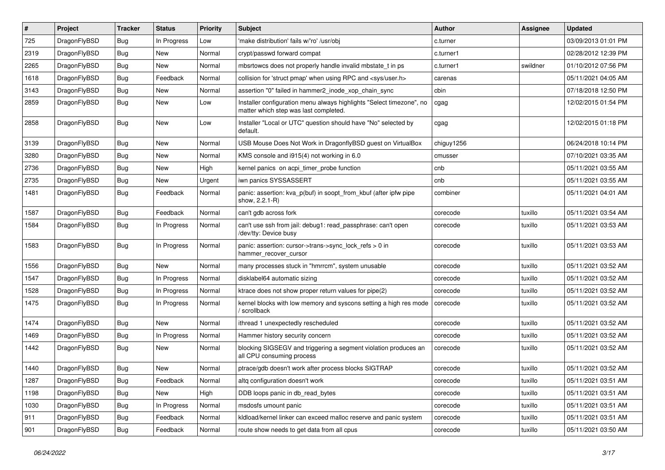| ∦    | Project      | <b>Tracker</b> | <b>Status</b> | <b>Priority</b> | <b>Subject</b>                                                                                                | <b>Author</b> | <b>Assignee</b> | <b>Updated</b>      |
|------|--------------|----------------|---------------|-----------------|---------------------------------------------------------------------------------------------------------------|---------------|-----------------|---------------------|
| 725  | DragonFlyBSD | Bug            | In Progress   | Low             | 'make distribution' fails w/'ro' /usr/obj                                                                     | c.turner      |                 | 03/09/2013 01:01 PM |
| 2319 | DragonFlyBSD | <b>Bug</b>     | <b>New</b>    | Normal          | crypt/passwd forward compat                                                                                   | c.turner1     |                 | 02/28/2012 12:39 PM |
| 2265 | DragonFlyBSD | <b>Bug</b>     | <b>New</b>    | Normal          | mbsrtowcs does not properly handle invalid mbstate t in ps                                                    | c.turner1     | swildner        | 01/10/2012 07:56 PM |
| 1618 | DragonFlyBSD | Bug            | Feedback      | Normal          | collision for 'struct pmap' when using RPC and <sys user.h=""></sys>                                          | carenas       |                 | 05/11/2021 04:05 AM |
| 3143 | DragonFlyBSD | <b>Bug</b>     | <b>New</b>    | Normal          | assertion "0" failed in hammer2_inode_xop_chain_sync                                                          | cbin          |                 | 07/18/2018 12:50 PM |
| 2859 | DragonFlyBSD | Bug            | New           | Low             | Installer configuration menu always highlights "Select timezone", no<br>matter which step was last completed. | cgag          |                 | 12/02/2015 01:54 PM |
| 2858 | DragonFlyBSD | Bug            | <b>New</b>    | Low             | Installer "Local or UTC" question should have "No" selected by<br>default.                                    | cgag          |                 | 12/02/2015 01:18 PM |
| 3139 | DragonFlyBSD | <b>Bug</b>     | <b>New</b>    | Normal          | USB Mouse Does Not Work in DragonflyBSD guest on VirtualBox                                                   | chiguy1256    |                 | 06/24/2018 10:14 PM |
| 3280 | DragonFlyBSD | Bug            | <b>New</b>    | Normal          | KMS console and i915(4) not working in 6.0                                                                    | cmusser       |                 | 07/10/2021 03:35 AM |
| 2736 | DragonFlyBSD | Bug            | <b>New</b>    | High            | kernel panics on acpi timer probe function                                                                    | cnb           |                 | 05/11/2021 03:55 AM |
| 2735 | DragonFlyBSD | Bug            | <b>New</b>    | Urgent          | iwn panics SYSSASSERT                                                                                         | cnb           |                 | 05/11/2021 03:55 AM |
| 1481 | DragonFlyBSD | Bug            | Feedback      | Normal          | panic: assertion: kva p(buf) in soopt from kbuf (after ipfw pipe<br>show, 2.2.1-R)                            | combiner      |                 | 05/11/2021 04:01 AM |
| 1587 | DragonFlyBSD | Bug            | Feedback      | Normal          | can't gdb across fork                                                                                         | corecode      | tuxillo         | 05/11/2021 03:54 AM |
| 1584 | DragonFlyBSD | Bug            | In Progress   | Normal          | can't use ssh from jail: debug1: read_passphrase: can't open<br>/dev/tty: Device busy                         | corecode      | tuxillo         | 05/11/2021 03:53 AM |
| 1583 | DragonFlyBSD | <b>Bug</b>     | In Progress   | Normal          | panic: assertion: cursor->trans->sync_lock_refs > 0 in<br>hammer_recover_cursor                               | corecode      | tuxillo         | 05/11/2021 03:53 AM |
| 1556 | DragonFlyBSD | <b>Bug</b>     | <b>New</b>    | Normal          | many processes stuck in "hmrrcm", system unusable                                                             | corecode      | tuxillo         | 05/11/2021 03:52 AM |
| 1547 | DragonFlyBSD | <b>Bug</b>     | In Progress   | Normal          | disklabel64 automatic sizing                                                                                  | corecode      | tuxillo         | 05/11/2021 03:52 AM |
| 1528 | DragonFlyBSD | Bug            | In Progress   | Normal          | ktrace does not show proper return values for pipe(2)                                                         | corecode      | tuxillo         | 05/11/2021 03:52 AM |
| 1475 | DragonFlyBSD | Bug            | In Progress   | Normal          | kernel blocks with low memory and syscons setting a high res mode<br>scrollback                               | corecode      | tuxillo         | 05/11/2021 03:52 AM |
| 1474 | DragonFlyBSD | <b>Bug</b>     | New           | Normal          | ithread 1 unexpectedly rescheduled                                                                            | corecode      | tuxillo         | 05/11/2021 03:52 AM |
| 1469 | DragonFlyBSD | Bug            | In Progress   | Normal          | Hammer history security concern                                                                               | corecode      | tuxillo         | 05/11/2021 03:52 AM |
| 1442 | DragonFlyBSD | Bug            | <b>New</b>    | Normal          | blocking SIGSEGV and triggering a segment violation produces an<br>all CPU consuming process                  | corecode      | tuxillo         | 05/11/2021 03:52 AM |
| 1440 | DragonFlyBSD | <b>Bug</b>     | <b>New</b>    | Normal          | ptrace/gdb doesn't work after process blocks SIGTRAP                                                          | corecode      | tuxillo         | 05/11/2021 03:52 AM |
| 1287 | DragonFlyBSD | Bug            | Feedback      | Normal          | altq configuration doesn't work                                                                               | corecode      | tuxillo         | 05/11/2021 03:51 AM |
| 1198 | DragonFlyBSD | <b>Bug</b>     | New           | High            | DDB loops panic in db read bytes                                                                              | corecode      | tuxillo         | 05/11/2021 03:51 AM |
| 1030 | DragonFlyBSD | <b>Bug</b>     | In Progress   | Normal          | msdosfs umount panic                                                                                          | corecode      | tuxillo         | 05/11/2021 03:51 AM |
| 911  | DragonFlyBSD | <b>Bug</b>     | Feedback      | Normal          | kldload/kernel linker can exceed malloc reserve and panic system                                              | corecode      | tuxillo         | 05/11/2021 03:51 AM |
| 901  | DragonFlyBSD | <b>Bug</b>     | Feedback      | Normal          | route show needs to get data from all cpus                                                                    | corecode      | tuxillo         | 05/11/2021 03:50 AM |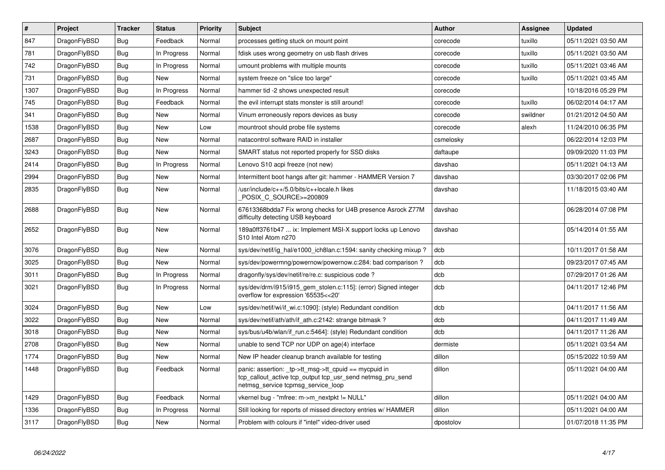| $\vert$ # | <b>Project</b> | <b>Tracker</b> | <b>Status</b> | <b>Priority</b> | <b>Subject</b>                                                                                                                                            | <b>Author</b> | Assignee | <b>Updated</b>      |
|-----------|----------------|----------------|---------------|-----------------|-----------------------------------------------------------------------------------------------------------------------------------------------------------|---------------|----------|---------------------|
| 847       | DragonFlyBSD   | <b>Bug</b>     | Feedback      | Normal          | processes getting stuck on mount point                                                                                                                    | corecode      | tuxillo  | 05/11/2021 03:50 AM |
| 781       | DragonFlyBSD   | Bug            | In Progress   | Normal          | fdisk uses wrong geometry on usb flash drives                                                                                                             | corecode      | tuxillo  | 05/11/2021 03:50 AM |
| 742       | DragonFlyBSD   | Bug            | In Progress   | Normal          | umount problems with multiple mounts                                                                                                                      | corecode      | tuxillo  | 05/11/2021 03:46 AM |
| 731       | DragonFlyBSD   | Bug            | <b>New</b>    | Normal          | system freeze on "slice too large"                                                                                                                        | corecode      | tuxillo  | 05/11/2021 03:45 AM |
| 1307      | DragonFlyBSD   | <b>Bug</b>     | In Progress   | Normal          | hammer tid -2 shows unexpected result                                                                                                                     | corecode      |          | 10/18/2016 05:29 PM |
| 745       | DragonFlyBSD   | Bug            | Feedback      | Normal          | the evil interrupt stats monster is still around!                                                                                                         | corecode      | tuxillo  | 06/02/2014 04:17 AM |
| 341       | DragonFlyBSD   | Bug            | <b>New</b>    | Normal          | Vinum erroneously repors devices as busy                                                                                                                  | corecode      | swildner | 01/21/2012 04:50 AM |
| 1538      | DragonFlyBSD   | Bug            | <b>New</b>    | Low             | mountroot should probe file systems                                                                                                                       | corecode      | alexh    | 11/24/2010 06:35 PM |
| 2687      | DragonFlyBSD   | Bug            | New           | Normal          | natacontrol software RAID in installer                                                                                                                    | csmelosky     |          | 06/22/2014 12:03 PM |
| 3243      | DragonFlyBSD   | Bug            | New           | Normal          | SMART status not reported properly for SSD disks                                                                                                          | daftaupe      |          | 09/09/2020 11:03 PM |
| 2414      | DragonFlyBSD   | Bug            | In Progress   | Normal          | Lenovo S10 acpi freeze (not new)                                                                                                                          | davshao       |          | 05/11/2021 04:13 AM |
| 2994      | DragonFlyBSD   | Bug            | New           | Normal          | Intermittent boot hangs after git: hammer - HAMMER Version 7                                                                                              | davshao       |          | 03/30/2017 02:06 PM |
| 2835      | DragonFlyBSD   | <b>Bug</b>     | New           | Normal          | /usr/include/c++/5.0/bits/c++locale.h likes<br>POSIX C SOURCE>=200809                                                                                     | davshao       |          | 11/18/2015 03:40 AM |
| 2688      | DragonFlyBSD   | <b>Bug</b>     | <b>New</b>    | Normal          | 67613368bdda7 Fix wrong checks for U4B presence Asrock Z77M<br>difficulty detecting USB keyboard                                                          | davshao       |          | 06/28/2014 07:08 PM |
| 2652      | DragonFlyBSD   | <b>Bug</b>     | <b>New</b>    | Normal          | 189a0ff3761b47  ix: Implement MSI-X support locks up Lenovo<br>S10 Intel Atom n270                                                                        | davshao       |          | 05/14/2014 01:55 AM |
| 3076      | DragonFlyBSD   | Bug            | <b>New</b>    | Normal          | sys/dev/netif/ig hal/e1000 ich8lan.c:1594: sanity checking mixup?                                                                                         | dcb           |          | 10/11/2017 01:58 AM |
| 3025      | DragonFlyBSD   | <b>Bug</b>     | <b>New</b>    | Normal          | sys/dev/powermng/powernow/powernow.c:284: bad comparison?                                                                                                 | dcb           |          | 09/23/2017 07:45 AM |
| 3011      | DragonFlyBSD   | Bug            | In Progress   | Normal          | dragonfly/sys/dev/netif/re/re.c: suspicious code?                                                                                                         | dcb           |          | 07/29/2017 01:26 AM |
| 3021      | DragonFlyBSD   | Bug            | In Progress   | Normal          | sys/dev/drm/i915/i915_gem_stolen.c:115]: (error) Signed integer<br>overflow for expression '65535<<20'                                                    | dcb           |          | 04/11/2017 12:46 PM |
| 3024      | DragonFlyBSD   | Bug            | New           | Low             | sys/dev/netif/wi/if_wi.c:1090]: (style) Redundant condition                                                                                               | dcb           |          | 04/11/2017 11:56 AM |
| 3022      | DragonFlyBSD   | Bug            | New           | Normal          | sys/dev/netif/ath/ath/if ath.c:2142: strange bitmask?                                                                                                     | dcb           |          | 04/11/2017 11:49 AM |
| 3018      | DragonFlyBSD   | <b>Bug</b>     | New           | Normal          | sys/bus/u4b/wlan/if_run.c:5464]: (style) Redundant condition                                                                                              | dcb           |          | 04/11/2017 11:26 AM |
| 2708      | DragonFlyBSD   | Bug            | New           | Normal          | unable to send TCP nor UDP on age(4) interface                                                                                                            | dermiste      |          | 05/11/2021 03:54 AM |
| 1774      | DragonFlyBSD   | <b>Bug</b>     | <b>New</b>    | Normal          | New IP header cleanup branch available for testing                                                                                                        | dillon        |          | 05/15/2022 10:59 AM |
| 1448      | DragonFlyBSD   | <b>Bug</b>     | Feedback      | Normal          | panic: assertion: _tp->tt_msg->tt_cpuid == mycpuid in<br>tcp_callout_active tcp_output tcp_usr_send netmsg_pru_send<br>netmsg service tcpmsg service loop | dillon        |          | 05/11/2021 04:00 AM |
| 1429      | DragonFlyBSD   | Bug            | Feedback      | Normal          | vkernel bug - "mfree: m->m_nextpkt != NULL"                                                                                                               | dillon        |          | 05/11/2021 04:00 AM |
| 1336      | DragonFlyBSD   | Bug            | In Progress   | Normal          | Still looking for reports of missed directory entries w/ HAMMER                                                                                           | dillon        |          | 05/11/2021 04:00 AM |
| 3117      | DragonFlyBSD   | Bug            | <b>New</b>    | Normal          | Problem with colours if "intel" video-driver used                                                                                                         | dpostolov     |          | 01/07/2018 11:35 PM |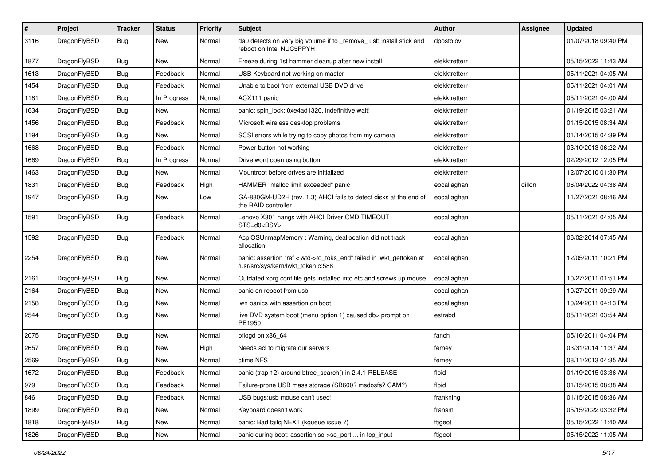| $\vert$ # | Project      | <b>Tracker</b> | <b>Status</b> | <b>Priority</b> | <b>Subject</b>                                                                                             | Author        | <b>Assignee</b> | <b>Updated</b>      |
|-----------|--------------|----------------|---------------|-----------------|------------------------------------------------------------------------------------------------------------|---------------|-----------------|---------------------|
| 3116      | DragonFlyBSD | Bug            | New           | Normal          | da0 detects on very big volume if to _remove_ usb install stick and<br>reboot on Intel NUC5PPYH            | dpostolov     |                 | 01/07/2018 09:40 PM |
| 1877      | DragonFlyBSD | Bug            | <b>New</b>    | Normal          | Freeze during 1st hammer cleanup after new install                                                         | elekktretterr |                 | 05/15/2022 11:43 AM |
| 1613      | DragonFlyBSD | <b>Bug</b>     | Feedback      | Normal          | USB Keyboard not working on master                                                                         | elekktretterr |                 | 05/11/2021 04:05 AM |
| 1454      | DragonFlyBSD | <b>Bug</b>     | Feedback      | Normal          | Unable to boot from external USB DVD drive                                                                 | elekktretterr |                 | 05/11/2021 04:01 AM |
| 1181      | DragonFlyBSD | <b>Bug</b>     | In Progress   | Normal          | ACX111 panic                                                                                               | elekktretterr |                 | 05/11/2021 04:00 AM |
| 1634      | DragonFlyBSD | Bug            | <b>New</b>    | Normal          | panic: spin_lock: 0xe4ad1320, indefinitive wait!                                                           | elekktretterr |                 | 01/19/2015 03:21 AM |
| 1456      | DragonFlyBSD | Bug            | Feedback      | Normal          | Microsoft wireless desktop problems                                                                        | elekktretterr |                 | 01/15/2015 08:34 AM |
| 1194      | DragonFlyBSD | <b>Bug</b>     | New           | Normal          | SCSI errors while trying to copy photos from my camera                                                     | elekktretterr |                 | 01/14/2015 04:39 PM |
| 1668      | DragonFlyBSD | Bug            | Feedback      | Normal          | Power button not working                                                                                   | elekktretterr |                 | 03/10/2013 06:22 AM |
| 1669      | DragonFlyBSD | <b>Bug</b>     | In Progress   | Normal          | Drive wont open using button                                                                               | elekktretterr |                 | 02/29/2012 12:05 PM |
| 1463      | DragonFlyBSD | Bug            | New           | Normal          | Mountroot before drives are initialized                                                                    | elekktretterr |                 | 12/07/2010 01:30 PM |
| 1831      | DragonFlyBSD | Bug            | Feedback      | High            | HAMMER "malloc limit exceeded" panic                                                                       | eocallaghan   | dillon          | 06/04/2022 04:38 AM |
| 1947      | DragonFlyBSD | Bug            | New           | Low             | GA-880GM-UD2H (rev. 1.3) AHCI fails to detect disks at the end of<br>the RAID controller                   | eocallaghan   |                 | 11/27/2021 08:46 AM |
| 1591      | DragonFlyBSD | Bug            | Feedback      | Normal          | Lenovo X301 hangs with AHCI Driver CMD TIMEOUT<br>STS=d0 <bsy></bsy>                                       | eocallaghan   |                 | 05/11/2021 04:05 AM |
| 1592      | DragonFlyBSD | <b>Bug</b>     | Feedback      | Normal          | AcpiOSUnmapMemory: Warning, deallocation did not track<br>allocation.                                      | eocallaghan   |                 | 06/02/2014 07:45 AM |
| 2254      | DragonFlyBSD | Bug            | New           | Normal          | panic: assertion "ref < &td->td_toks_end" failed in lwkt_gettoken at<br>/usr/src/sys/kern/lwkt_token.c:588 | eocallaghan   |                 | 12/05/2011 10:21 PM |
| 2161      | DragonFlyBSD | Bug            | <b>New</b>    | Normal          | Outdated xorg.conf file gets installed into etc and screws up mouse                                        | eocallaghan   |                 | 10/27/2011 01:51 PM |
| 2164      | DragonFlyBSD | Bug            | <b>New</b>    | Normal          | panic on reboot from usb.                                                                                  | eocallaghan   |                 | 10/27/2011 09:29 AM |
| 2158      | DragonFlyBSD | Bug            | New           | Normal          | iwn panics with assertion on boot.                                                                         | eocallaghan   |                 | 10/24/2011 04:13 PM |
| 2544      | DragonFlyBSD | Bug            | New           | Normal          | live DVD system boot (menu option 1) caused db> prompt on<br>PE1950                                        | estrabd       |                 | 05/11/2021 03:54 AM |
| 2075      | DragonFlyBSD | Bug            | <b>New</b>    | Normal          | pflogd on x86 64                                                                                           | fanch         |                 | 05/16/2011 04:04 PM |
| 2657      | DragonFlyBSD | Bug            | New           | High            | Needs acl to migrate our servers                                                                           | ferney        |                 | 03/31/2014 11:37 AM |
| 2569      | DragonFlyBSD | <b>Bug</b>     | New           | Normal          | ctime NFS                                                                                                  | ferney        |                 | 08/11/2013 04:35 AM |
| 1672      | DragonFlyBSD | Bug            | Feedback      | Normal          | panic (trap 12) around btree search() in 2.4.1-RELEASE                                                     | floid         |                 | 01/19/2015 03:36 AM |
| 979       | DragonFlyBSD | Bug            | Feedback      | Normal          | Failure-prone USB mass storage (SB600? msdosfs? CAM?)                                                      | floid         |                 | 01/15/2015 08:38 AM |
| 846       | DragonFlyBSD | Bug            | Feedback      | Normal          | USB bugs:usb mouse can't used!                                                                             | frankning     |                 | 01/15/2015 08:36 AM |
| 1899      | DragonFlyBSD | <b>Bug</b>     | New           | Normal          | Keyboard doesn't work                                                                                      | fransm        |                 | 05/15/2022 03:32 PM |
| 1818      | DragonFlyBSD | Bug            | New           | Normal          | panic: Bad tailq NEXT (kqueue issue ?)                                                                     | ftigeot       |                 | 05/15/2022 11:40 AM |
| 1826      | DragonFlyBSD | Bug            | New           | Normal          | panic during boot: assertion so->so port  in tcp input                                                     | ftigeot       |                 | 05/15/2022 11:05 AM |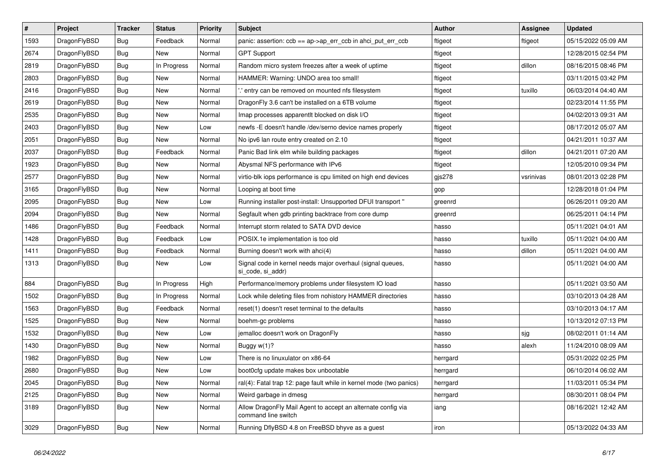| $\vert$ # | Project      | <b>Tracker</b> | <b>Status</b> | <b>Priority</b> | <b>Subject</b>                                                                      | Author   | Assignee  | <b>Updated</b>      |
|-----------|--------------|----------------|---------------|-----------------|-------------------------------------------------------------------------------------|----------|-----------|---------------------|
| 1593      | DragonFlyBSD | <b>Bug</b>     | Feedback      | Normal          | panic: assertion: ccb == ap->ap_err_ccb in ahci_put_err_ccb                         | ftigeot  | ftigeot   | 05/15/2022 05:09 AM |
| 2674      | DragonFlyBSD | <b>Bug</b>     | <b>New</b>    | Normal          | <b>GPT Support</b>                                                                  | ftigeot  |           | 12/28/2015 02:54 PM |
| 2819      | DragonFlyBSD | Bug            | In Progress   | Normal          | Random micro system freezes after a week of uptime                                  | ftigeot  | dillon    | 08/16/2015 08:46 PM |
| 2803      | DragonFlyBSD | Bug            | <b>New</b>    | Normal          | HAMMER: Warning: UNDO area too small!                                               | ftigeot  |           | 03/11/2015 03:42 PM |
| 2416      | DragonFlyBSD | Bug            | <b>New</b>    | Normal          | ".' entry can be removed on mounted nfs filesystem                                  | ftigeot  | tuxillo   | 06/03/2014 04:40 AM |
| 2619      | DragonFlyBSD | Bug            | <b>New</b>    | Normal          | Dragon Fly 3.6 can't be installed on a 6TB volume                                   | ftigeot  |           | 02/23/2014 11:55 PM |
| 2535      | DragonFlyBSD | <b>Bug</b>     | New           | Normal          | Imap processes apparentit blocked on disk I/O                                       | ftigeot  |           | 04/02/2013 09:31 AM |
| 2403      | DragonFlyBSD | Bug            | New           | Low             | newfs - E doesn't handle / dev/serno device names properly                          | ftigeot  |           | 08/17/2012 05:07 AM |
| 2051      | DragonFlyBSD | Bug            | <b>New</b>    | Normal          | No ipv6 lan route entry created on 2.10                                             | ftigeot  |           | 04/21/2011 10:37 AM |
| 2037      | DragonFlyBSD | Bug            | Feedback      | Normal          | Panic Bad link elm while building packages                                          | ftigeot  | dillon    | 04/21/2011 07:20 AM |
| 1923      | DragonFlyBSD | <b>Bug</b>     | New           | Normal          | Abysmal NFS performance with IPv6                                                   | ftigeot  |           | 12/05/2010 09:34 PM |
| 2577      | DragonFlyBSD | Bug            | New           | Normal          | virtio-blk iops performance is cpu limited on high end devices                      | gjs278   | vsrinivas | 08/01/2013 02:28 PM |
| 3165      | DragonFlyBSD | <b>Bug</b>     | <b>New</b>    | Normal          | Looping at boot time                                                                | gop      |           | 12/28/2018 01:04 PM |
| 2095      | DragonFlyBSD | Bug            | <b>New</b>    | Low             | Running installer post-install: Unsupported DFUI transport"                         | greenrd  |           | 06/26/2011 09:20 AM |
| 2094      | DragonFlyBSD | <b>Bug</b>     | <b>New</b>    | Normal          | Segfault when gdb printing backtrace from core dump                                 | greenrd  |           | 06/25/2011 04:14 PM |
| 1486      | DragonFlyBSD | Bug            | Feedback      | Normal          | Interrupt storm related to SATA DVD device                                          | hasso    |           | 05/11/2021 04:01 AM |
| 1428      | DragonFlyBSD | Bug            | Feedback      | Low             | POSIX.1e implementation is too old                                                  | hasso    | tuxillo   | 05/11/2021 04:00 AM |
| 1411      | DragonFlyBSD | Bug            | Feedback      | Normal          | Burning doesn't work with ahci(4)                                                   | hasso    | dillon    | 05/11/2021 04:00 AM |
| 1313      | DragonFlyBSD | <b>Bug</b>     | <b>New</b>    | Low             | Signal code in kernel needs major overhaul (signal queues,<br>si_code, si_addr)     | hasso    |           | 05/11/2021 04:00 AM |
| 884       | DragonFlyBSD | Bug            | In Progress   | High            | Performance/memory problems under filesystem IO load                                | hasso    |           | 05/11/2021 03:50 AM |
| 1502      | DragonFlyBSD | Bug            | In Progress   | Normal          | Lock while deleting files from nohistory HAMMER directories                         | hasso    |           | 03/10/2013 04:28 AM |
| 1563      | DragonFlyBSD | Bug            | Feedback      | Normal          | reset(1) doesn't reset terminal to the defaults                                     | hasso    |           | 03/10/2013 04:17 AM |
| 1525      | DragonFlyBSD | Bug            | <b>New</b>    | Normal          | boehm-gc problems                                                                   | hasso    |           | 10/13/2012 07:13 PM |
| 1532      | DragonFlyBSD | <b>Bug</b>     | <b>New</b>    | Low             | jemalloc doesn't work on DragonFly                                                  | hasso    | sjg       | 08/02/2011 01:14 AM |
| 1430      | DragonFlyBSD | Bug            | <b>New</b>    | Normal          | Buggy $w(1)$ ?                                                                      | hasso    | alexh     | 11/24/2010 08:09 AM |
| 1982      | DragonFlyBSD | Bug            | New           | Low             | There is no linuxulator on x86-64                                                   | herrgard |           | 05/31/2022 02:25 PM |
| 2680      | DragonFlyBSD | Bug            | <b>New</b>    | Low             | boot0cfg update makes box unbootable                                                | herrgard |           | 06/10/2014 06:02 AM |
| 2045      | DragonFlyBSD | Bug            | <b>New</b>    | Normal          | ral(4): Fatal trap 12: page fault while in kernel mode (two panics)                 | herrgard |           | 11/03/2011 05:34 PM |
| 2125      | DragonFlyBSD | Bug            | <b>New</b>    | Normal          | Weird garbage in dmesg                                                              | herrgard |           | 08/30/2011 08:04 PM |
| 3189      | DragonFlyBSD | Bug            | New           | Normal          | Allow DragonFly Mail Agent to accept an alternate config via<br>command line switch | iang     |           | 08/16/2021 12:42 AM |
| 3029      | DragonFlyBSD | Bug            | <b>New</b>    | Normal          | Running DflyBSD 4.8 on FreeBSD bhyve as a guest                                     | iron     |           | 05/13/2022 04:33 AM |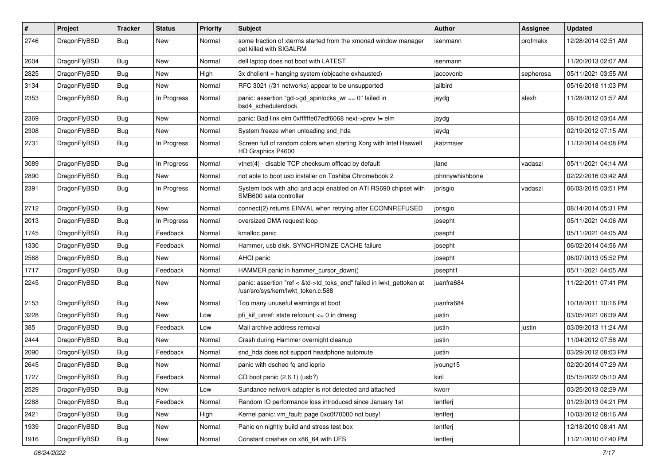| $\pmb{\#}$ | Project      | <b>Tracker</b> | <b>Status</b> | <b>Priority</b> | Subject                                                                                                    | <b>Author</b>   | <b>Assignee</b> | <b>Updated</b>      |
|------------|--------------|----------------|---------------|-----------------|------------------------------------------------------------------------------------------------------------|-----------------|-----------------|---------------------|
| 2746       | DragonFlyBSD | Bug            | New           | Normal          | some fraction of xterms started from the xmonad window manager<br>get killed with SIGALRM                  | isenmann        | profmakx        | 12/28/2014 02:51 AM |
| 2604       | DragonFlyBSD | Bug            | <b>New</b>    | Normal          | dell laptop does not boot with LATEST                                                                      | isenmann        |                 | 11/20/2013 02:07 AM |
| 2825       | DragonFlyBSD | Bug            | New           | High            | 3x dhclient = hanging system (objcache exhausted)                                                          | jaccovonb       | sepherosa       | 05/11/2021 03:55 AM |
| 3134       | DragonFlyBSD | Bug            | <b>New</b>    | Normal          | RFC 3021 (/31 networks) appear to be unsupported                                                           | jailbird        |                 | 05/16/2018 11:03 PM |
| 2353       | DragonFlyBSD | Bug            | In Progress   | Normal          | panic: assertion "gd->gd_spinlocks_wr == 0" failed in<br>bsd4_schedulerclock                               | jaydg           | alexh           | 11/28/2012 01:57 AM |
| 2369       | DragonFlyBSD | Bug            | New           | Normal          | panic: Bad link elm 0xffffffe07edf6068 next->prev != elm                                                   | jaydg           |                 | 08/15/2012 03:04 AM |
| 2308       | DragonFlyBSD | Bug            | <b>New</b>    | Normal          | System freeze when unloading snd hda                                                                       | jaydg           |                 | 02/19/2012 07:15 AM |
| 2731       | DragonFlyBSD | <b>Bug</b>     | In Progress   | Normal          | Screen full of random colors when starting Xorg with Intel Haswell<br>HD Graphics P4600                    | ikatzmaier      |                 | 11/12/2014 04:08 PM |
| 3089       | DragonFlyBSD | Bug            | In Progress   | Normal          | vtnet(4) - disable TCP checksum offload by default                                                         | jlane           | vadaszi         | 05/11/2021 04:14 AM |
| 2890       | DragonFlyBSD | Bug            | New           | Normal          | not able to boot usb installer on Toshiba Chromebook 2                                                     | johnnywhishbone |                 | 02/22/2016 03:42 AM |
| 2391       | DragonFlyBSD | Bug            | In Progress   | Normal          | System lock with ahci and acpi enabled on ATI RS690 chipset with<br>SMB600 sata controller                 | jorisgio        | vadaszi         | 06/03/2015 03:51 PM |
| 2712       | DragonFlyBSD | Bug            | New           | Normal          | connect(2) returns EINVAL when retrying after ECONNREFUSED                                                 | jorisgio        |                 | 08/14/2014 05:31 PM |
| 2013       | DragonFlyBSD | Bug            | In Progress   | Normal          | oversized DMA request loop                                                                                 | josepht         |                 | 05/11/2021 04:06 AM |
| 1745       | DragonFlyBSD | Bug            | Feedback      | Normal          | kmalloc panic                                                                                              | josepht         |                 | 05/11/2021 04:05 AM |
| 1330       | DragonFlyBSD | Bug            | Feedback      | Normal          | Hammer, usb disk, SYNCHRONIZE CACHE failure                                                                | josepht         |                 | 06/02/2014 04:56 AM |
| 2568       | DragonFlyBSD | Bug            | New           | Normal          | AHCI panic                                                                                                 | josepht         |                 | 06/07/2013 05:52 PM |
| 1717       | DragonFlyBSD | Bug            | Feedback      | Normal          | HAMMER panic in hammer cursor down()                                                                       | josepht1        |                 | 05/11/2021 04:05 AM |
| 2245       | DragonFlyBSD | Bug            | New           | Normal          | panic: assertion "ref < &td->td_toks_end" failed in lwkt_gettoken at<br>/usr/src/sys/kern/lwkt_token.c:588 | juanfra684      |                 | 11/22/2011 07:41 PM |
| 2153       | DragonFlyBSD | Bug            | <b>New</b>    | Normal          | Too many unuseful warnings at boot                                                                         | juanfra684      |                 | 10/18/2011 10:16 PM |
| 3228       | DragonFlyBSD | Bug            | New           | Low             | pfi kif unref: state refcount $\leq$ 0 in dmesg                                                            | justin          |                 | 03/05/2021 06:39 AM |
| 385        | DragonFlyBSD | Bug            | Feedback      | Low             | Mail archive address removal                                                                               | justin          | justin          | 03/09/2013 11:24 AM |
| 2444       | DragonFlyBSD | Bug            | New           | Normal          | Crash during Hammer overnight cleanup                                                                      | justin          |                 | 11/04/2012 07:58 AM |
| 2090       | DragonFlyBSD | Bug            | Feedback      | Normal          | snd_hda does not support headphone automute                                                                | justin          |                 | 03/29/2012 08:03 PM |
| 2645       | DragonFlyBSD | Bug            | New           | Normal          | panic with dsched fq and ioprio                                                                            | jyoung15        |                 | 02/20/2014 07:29 AM |
| 1727       | DragonFlyBSD | Bug            | Feedback      | Normal          | CD boot panic (2.6.1) (usb?)                                                                               | kiril           |                 | 05/15/2022 05:10 AM |
| 2529       | DragonFlyBSD | Bug            | New           | Low             | Sundance network adapter is not detected and attached                                                      | kworr           |                 | 03/25/2013 02:29 AM |
| 2288       | DragonFlyBSD | Bug            | Feedback      | Normal          | Random IO performance loss introduced since January 1st                                                    | lentferj        |                 | 01/23/2013 04:21 PM |
| 2421       | DragonFlyBSD | Bug            | New           | High            | Kernel panic: vm_fault: page 0xc0f70000 not busy!                                                          | lentferj        |                 | 10/03/2012 08:16 AM |
| 1939       | DragonFlyBSD | <b>Bug</b>     | New           | Normal          | Panic on nightly build and stress test box                                                                 | lentferj        |                 | 12/18/2010 08:41 AM |
| 1916       | DragonFlyBSD | Bug            | New           | Normal          | Constant crashes on x86_64 with UFS                                                                        | lentferj        |                 | 11/21/2010 07:40 PM |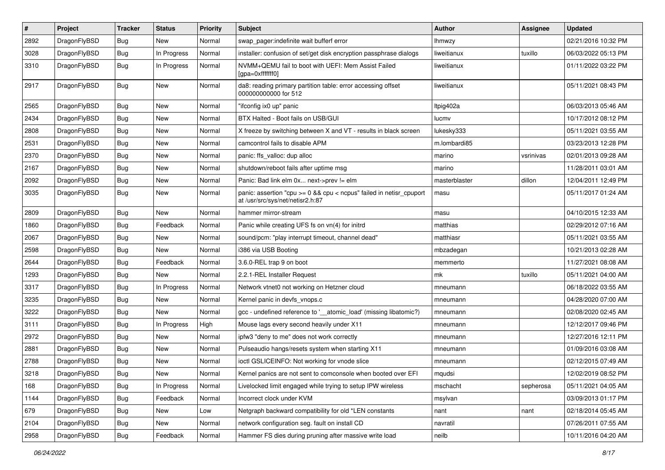| $\sharp$ | Project      | <b>Tracker</b> | <b>Status</b> | <b>Priority</b> | Subject                                                                                                 | <b>Author</b> | <b>Assignee</b> | <b>Updated</b>      |
|----------|--------------|----------------|---------------|-----------------|---------------------------------------------------------------------------------------------------------|---------------|-----------------|---------------------|
| 2892     | DragonFlyBSD | <b>Bug</b>     | New           | Normal          | swap_pager:indefinite wait bufferf error                                                                | <b>Ihmwzy</b> |                 | 02/21/2016 10:32 PM |
| 3028     | DragonFlyBSD | Bug            | In Progress   | Normal          | installer: confusion of set/get disk encryption passphrase dialogs                                      | liweitianux   | tuxillo         | 06/03/2022 05:13 PM |
| 3310     | DragonFlyBSD | <b>Bug</b>     | In Progress   | Normal          | NVMM+QEMU fail to boot with UEFI: Mem Assist Failed<br>[gpa=0xfffffff0]                                 | liweitianux   |                 | 01/11/2022 03:22 PM |
| 2917     | DragonFlyBSD | <b>Bug</b>     | <b>New</b>    | Normal          | da8: reading primary partition table: error accessing offset<br>000000000000 for 512                    | liweitianux   |                 | 05/11/2021 08:43 PM |
| 2565     | DragonFlyBSD | <b>Bug</b>     | New           | Normal          | "ifconfig ix0 up" panic                                                                                 | ltpig402a     |                 | 06/03/2013 05:46 AM |
| 2434     | DragonFlyBSD | <b>Bug</b>     | <b>New</b>    | Normal          | BTX Halted - Boot fails on USB/GUI                                                                      | lucmv         |                 | 10/17/2012 08:12 PM |
| 2808     | DragonFlyBSD | <b>Bug</b>     | <b>New</b>    | Normal          | X freeze by switching between X and VT - results in black screen                                        | lukesky333    |                 | 05/11/2021 03:55 AM |
| 2531     | DragonFlyBSD | <b>Bug</b>     | New           | Normal          | camcontrol fails to disable APM                                                                         | m.lombardi85  |                 | 03/23/2013 12:28 PM |
| 2370     | DragonFlyBSD | Bug            | <b>New</b>    | Normal          | panic: ffs_valloc: dup alloc                                                                            | marino        | vsrinivas       | 02/01/2013 09:28 AM |
| 2167     | DragonFlyBSD | <b>Bug</b>     | New           | Normal          | shutdown/reboot fails after uptime msg                                                                  | marino        |                 | 11/28/2011 03:01 AM |
| 2092     | DragonFlyBSD | <b>Bug</b>     | New           | Normal          | Panic: Bad link elm 0x next->prev != elm                                                                | masterblaster | dillon          | 12/04/2011 12:49 PM |
| 3035     | DragonFlyBSD | <b>Bug</b>     | <b>New</b>    | Normal          | panic: assertion "cpu >= 0 && cpu < ncpus" failed in netisr_cpuport<br>at /usr/src/sys/net/netisr2.h:87 | masu          |                 | 05/11/2017 01:24 AM |
| 2809     | DragonFlyBSD | Bug            | New           | Normal          | hammer mirror-stream                                                                                    | masu          |                 | 04/10/2015 12:33 AM |
| 1860     | DragonFlyBSD | <b>Bug</b>     | Feedback      | Normal          | Panic while creating UFS fs on vn(4) for initrd                                                         | matthias      |                 | 02/29/2012 07:16 AM |
| 2067     | DragonFlyBSD | Bug            | New           | Normal          | sound/pcm: "play interrupt timeout, channel dead"                                                       | matthiasr     |                 | 05/11/2021 03:55 AM |
| 2598     | DragonFlyBSD | <b>Bug</b>     | New           | Normal          | i386 via USB Booting                                                                                    | mbzadegan     |                 | 10/21/2013 02:28 AM |
| 2644     | DragonFlyBSD | <b>Bug</b>     | Feedback      | Normal          | 3.6.0-REL trap 9 on boot                                                                                | memmerto      |                 | 11/27/2021 08:08 AM |
| 1293     | DragonFlyBSD | <b>Bug</b>     | New           | Normal          | 2.2.1-REL Installer Request                                                                             | mk            | tuxillo         | 05/11/2021 04:00 AM |
| 3317     | DragonFlyBSD | <b>Bug</b>     | In Progress   | Normal          | Network vtnet0 not working on Hetzner cloud                                                             | mneumann      |                 | 06/18/2022 03:55 AM |
| 3235     | DragonFlyBSD | Bug            | <b>New</b>    | Normal          | Kernel panic in devfs vnops.c                                                                           | mneumann      |                 | 04/28/2020 07:00 AM |
| 3222     | DragonFlyBSD | <b>Bug</b>     | New           | Normal          | gcc - undefined reference to '__atomic_load' (missing libatomic?)                                       | mneumann      |                 | 02/08/2020 02:45 AM |
| 3111     | DragonFlyBSD | <b>Bug</b>     | In Progress   | High            | Mouse lags every second heavily under X11                                                               | mneumann      |                 | 12/12/2017 09:46 PM |
| 2972     | DragonFlyBSD | Bug            | <b>New</b>    | Normal          | ipfw3 "deny to me" does not work correctly                                                              | mneumann      |                 | 12/27/2016 12:11 PM |
| 2881     | DragonFlyBSD | <b>Bug</b>     | <b>New</b>    | Normal          | Pulseaudio hangs/resets system when starting X11                                                        | mneumann      |                 | 01/09/2016 03:08 AM |
| 2788     | DragonFlyBSD | <b>Bug</b>     | New           | Normal          | ioctl GSLICEINFO: Not working for vnode slice                                                           | mneumann      |                 | 02/12/2015 07:49 AM |
| 3218     | DragonFlyBSD | Bug            | New           | Normal          | Kernel panics are not sent to comconsole when booted over EFI                                           | mqudsi        |                 | 12/02/2019 08:52 PM |
| 168      | DragonFlyBSD | Bug            | In Progress   | Normal          | Livelocked limit engaged while trying to setup IPW wireless                                             | mschacht      | sepherosa       | 05/11/2021 04:05 AM |
| 1144     | DragonFlyBSD | Bug            | Feedback      | Normal          | Incorrect clock under KVM                                                                               | msylvan       |                 | 03/09/2013 01:17 PM |
| 679      | DragonFlyBSD | Bug            | New           | Low             | Netgraph backward compatibility for old *LEN constants                                                  | nant          | nant            | 02/18/2014 05:45 AM |
| 2104     | DragonFlyBSD | Bug            | New           | Normal          | network configuration seg. fault on install CD                                                          | navratil      |                 | 07/26/2011 07:55 AM |
| 2958     | DragonFlyBSD | Bug            | Feedback      | Normal          | Hammer FS dies during pruning after massive write load                                                  | neilb         |                 | 10/11/2016 04:20 AM |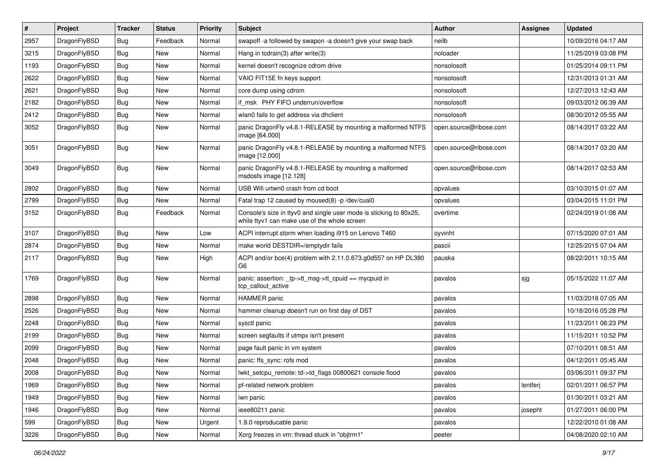| $\sharp$ | Project      | <b>Tracker</b> | <b>Status</b> | <b>Priority</b> | Subject                                                                                                            | <b>Author</b>          | Assignee | <b>Updated</b>      |
|----------|--------------|----------------|---------------|-----------------|--------------------------------------------------------------------------------------------------------------------|------------------------|----------|---------------------|
| 2957     | DragonFlyBSD | Bug            | Feedback      | Normal          | swapoff -a followed by swapon -a doesn't give your swap back                                                       | neilb                  |          | 10/09/2016 04:17 AM |
| 3215     | DragonFlyBSD | Bug            | <b>New</b>    | Normal          | Hang in todrain(3) after write(3)                                                                                  | noloader               |          | 11/25/2019 03:08 PM |
| 1193     | DragonFlyBSD | <b>Bug</b>     | New           | Normal          | kernel doesn't recognize cdrom drive                                                                               | nonsolosoft            |          | 01/25/2014 09:11 PM |
| 2622     | DragonFlyBSD | <b>Bug</b>     | New           | Normal          | VAIO FIT15E fn keys support                                                                                        | nonsolosoft            |          | 12/31/2013 01:31 AM |
| 2621     | DragonFlyBSD | Bug            | <b>New</b>    | Normal          | core dump using cdrom                                                                                              | nonsolosoft            |          | 12/27/2013 12:43 AM |
| 2182     | DragonFlyBSD | <b>Bug</b>     | New           | Normal          | if_msk PHY FIFO underrun/overflow                                                                                  | nonsolosoft            |          | 09/03/2012 06:39 AM |
| 2412     | DragonFlyBSD | <b>Bug</b>     | New           | Normal          | wlan0 fails to get address via dhclient                                                                            | nonsolosoft            |          | 08/30/2012 05:55 AM |
| 3052     | DragonFlyBSD | Bug            | New           | Normal          | panic DragonFly v4.8.1-RELEASE by mounting a malformed NTFS<br>image [64.000]                                      | open.source@ribose.com |          | 08/14/2017 03:22 AM |
| 3051     | DragonFlyBSD | <b>Bug</b>     | <b>New</b>    | Normal          | panic DragonFly v4.8.1-RELEASE by mounting a malformed NTFS<br>image [12.000]                                      | open.source@ribose.com |          | 08/14/2017 03:20 AM |
| 3049     | DragonFlyBSD | Bug            | <b>New</b>    | Normal          | panic DragonFly v4.8.1-RELEASE by mounting a malformed<br>msdosfs image [12.128]                                   | open.source@ribose.com |          | 08/14/2017 02:53 AM |
| 2802     | DragonFlyBSD | <b>Bug</b>     | <b>New</b>    | Normal          | USB Wifi urtwn0 crash from cd boot                                                                                 | opvalues               |          | 03/10/2015 01:07 AM |
| 2799     | DragonFlyBSD | <b>Bug</b>     | <b>New</b>    | Normal          | Fatal trap 12 caused by moused(8) -p /dev/cual0                                                                    | opvalues               |          | 03/04/2015 11:01 PM |
| 3152     | DragonFlyBSD | Bug            | Feedback      | Normal          | Console's size in ttyv0 and single user mode is sticking to 80x25,<br>while ttyv1 can make use of the whole screen | overtime               |          | 02/24/2019 01:08 AM |
| 3107     | DragonFlyBSD | Bug            | <b>New</b>    | Low             | ACPI interrupt storm when loading i915 on Lenovo T460                                                              | oyvinht                |          | 07/15/2020 07:01 AM |
| 2874     | DragonFlyBSD | <b>Bug</b>     | <b>New</b>    | Normal          | make world DESTDIR=/emptydir fails                                                                                 | pascii                 |          | 12/25/2015 07:04 AM |
| 2117     | DragonFlyBSD | Bug            | New           | High            | ACPI and/or bce(4) problem with 2.11.0.673.g0d557 on HP DL380<br>G6                                                | pauska                 |          | 08/22/2011 10:15 AM |
| 1769     | DragonFlyBSD | Bug            | <b>New</b>    | Normal          | panic: assertion: _tp->tt_msg->tt_cpuid == mycpuid in<br>tcp_callout_active                                        | pavalos                | sjg      | 05/15/2022 11:07 AM |
| 2898     | DragonFlyBSD | Bug            | <b>New</b>    | Normal          | <b>HAMMER</b> panic                                                                                                | pavalos                |          | 11/03/2018 07:05 AM |
| 2526     | DragonFlyBSD | <b>Bug</b>     | <b>New</b>    | Normal          | hammer cleanup doesn't run on first day of DST                                                                     | pavalos                |          | 10/18/2016 05:28 PM |
| 2248     | DragonFlyBSD | <b>Bug</b>     | <b>New</b>    | Normal          | sysctl panic                                                                                                       | pavalos                |          | 11/23/2011 06:23 PM |
| 2199     | DragonFlyBSD | Bug            | New           | Normal          | screen segfaults if utmpx isn't present                                                                            | pavalos                |          | 11/15/2011 10:52 PM |
| 2099     | DragonFlyBSD | <b>Bug</b>     | <b>New</b>    | Normal          | page fault panic in vm system                                                                                      | pavalos                |          | 07/10/2011 08:51 AM |
| 2048     | DragonFlyBSD | Bug            | New           | Normal          | panic: ffs_sync: rofs mod                                                                                          | pavalos                |          | 04/12/2011 05:45 AM |
| 2008     | DragonFlyBSD | Bug            | New           | Normal          | lwkt_setcpu_remote: td->td_flags 00800621 console flood                                                            | pavalos                |          | 03/06/2011 09:37 PM |
| 1969     | DragonFlyBSD | Bug            | <b>New</b>    | Normal          | pf-related network problem                                                                                         | pavalos                | lentferj | 02/01/2011 06:57 PM |
| 1949     | DragonFlyBSD | <b>Bug</b>     | New           | Normal          | iwn panic                                                                                                          | pavalos                |          | 01/30/2011 03:21 AM |
| 1946     | DragonFlyBSD | <b>Bug</b>     | New           | Normal          | ieee80211 panic                                                                                                    | pavalos                | josepht  | 01/27/2011 06:00 PM |
| 599      | DragonFlyBSD | <b>Bug</b>     | New           | Urgent          | 1.9.0 reproducable panic                                                                                           | pavalos                |          | 12/22/2010 01:08 AM |
| 3226     | DragonFlyBSD | <b>Bug</b>     | New           | Normal          | Xorg freezes in vm: thread stuck in "objtrm1"                                                                      | peeter                 |          | 04/08/2020 02:10 AM |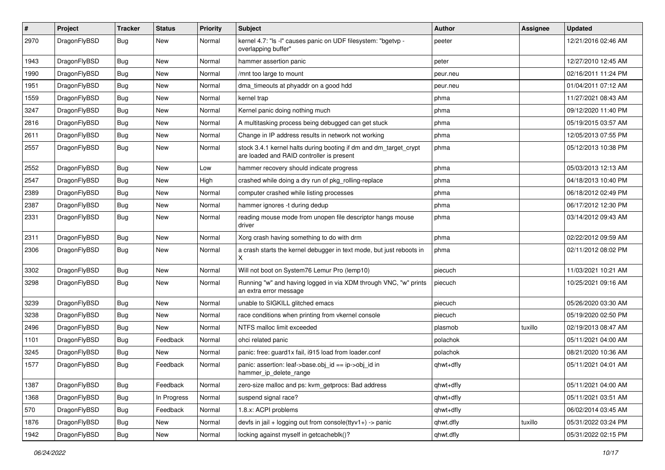| $\sharp$ | Project      | <b>Tracker</b> | <b>Status</b> | <b>Priority</b> | Subject                                                                                                        | Author    | Assignee | <b>Updated</b>      |
|----------|--------------|----------------|---------------|-----------------|----------------------------------------------------------------------------------------------------------------|-----------|----------|---------------------|
| 2970     | DragonFlyBSD | Bug            | <b>New</b>    | Normal          | kernel 4.7: "Is -I" causes panic on UDF filesystem: "bgetvp -<br>overlapping buffer"                           | peeter    |          | 12/21/2016 02:46 AM |
| 1943     | DragonFlyBSD | Bug            | <b>New</b>    | Normal          | hammer assertion panic                                                                                         | peter     |          | 12/27/2010 12:45 AM |
| 1990     | DragonFlyBSD | <b>Bug</b>     | New           | Normal          | /mnt too large to mount                                                                                        | peur.neu  |          | 02/16/2011 11:24 PM |
| 1951     | DragonFlyBSD | Bug            | <b>New</b>    | Normal          | dma_timeouts at phyaddr on a good hdd                                                                          | peur.neu  |          | 01/04/2011 07:12 AM |
| 1559     | DragonFlyBSD | <b>Bug</b>     | New           | Normal          | kernel trap                                                                                                    | phma      |          | 11/27/2021 08:43 AM |
| 3247     | DragonFlyBSD | Bug            | <b>New</b>    | Normal          | Kernel panic doing nothing much                                                                                | phma      |          | 09/12/2020 11:40 PM |
| 2816     | DragonFlyBSD | Bug            | New           | Normal          | A multitasking process being debugged can get stuck                                                            | phma      |          | 05/19/2015 03:57 AM |
| 2611     | DragonFlyBSD | Bug            | New           | Normal          | Change in IP address results in network not working                                                            | phma      |          | 12/05/2013 07:55 PM |
| 2557     | DragonFlyBSD | Bug            | <b>New</b>    | Normal          | stock 3.4.1 kernel halts during booting if dm and dm_target_crypt<br>are loaded and RAID controller is present | phma      |          | 05/12/2013 10:38 PM |
| 2552     | DragonFlyBSD | Bug            | <b>New</b>    | Low             | hammer recovery should indicate progress                                                                       | phma      |          | 05/03/2013 12:13 AM |
| 2547     | DragonFlyBSD | Bug            | New           | High            | crashed while doing a dry run of pkg_rolling-replace                                                           | phma      |          | 04/18/2013 10:40 PM |
| 2389     | DragonFlyBSD | Bug            | <b>New</b>    | Normal          | computer crashed while listing processes                                                                       | phma      |          | 06/18/2012 02:49 PM |
| 2387     | DragonFlyBSD | Bug            | <b>New</b>    | Normal          | hammer ignores -t during dedup                                                                                 | phma      |          | 06/17/2012 12:30 PM |
| 2331     | DragonFlyBSD | Bug            | <b>New</b>    | Normal          | reading mouse mode from unopen file descriptor hangs mouse<br>driver                                           | phma      |          | 03/14/2012 09:43 AM |
| 2311     | DragonFlyBSD | Bug            | <b>New</b>    | Normal          | Xorg crash having something to do with drm                                                                     | phma      |          | 02/22/2012 09:59 AM |
| 2306     | DragonFlyBSD | Bug            | New           | Normal          | a crash starts the kernel debugger in text mode, but just reboots in<br>Χ                                      | phma      |          | 02/11/2012 08:02 PM |
| 3302     | DragonFlyBSD | Bug            | <b>New</b>    | Normal          | Will not boot on System76 Lemur Pro (lemp10)                                                                   | piecuch   |          | 11/03/2021 10:21 AM |
| 3298     | DragonFlyBSD | Bug            | <b>New</b>    | Normal          | Running "w" and having logged in via XDM through VNC, "w" prints<br>an extra error message                     | piecuch   |          | 10/25/2021 09:16 AM |
| 3239     | DragonFlyBSD | Bug            | <b>New</b>    | Normal          | unable to SIGKILL glitched emacs                                                                               | piecuch   |          | 05/26/2020 03:30 AM |
| 3238     | DragonFlyBSD | <b>Bug</b>     | <b>New</b>    | Normal          | race conditions when printing from vkernel console                                                             | piecuch   |          | 05/19/2020 02:50 PM |
| 2496     | DragonFlyBSD | Bug            | <b>New</b>    | Normal          | NTFS malloc limit exceeded                                                                                     | plasmob   | tuxillo  | 02/19/2013 08:47 AM |
| 1101     | DragonFlyBSD | Bug            | Feedback      | Normal          | ohci related panic                                                                                             | polachok  |          | 05/11/2021 04:00 AM |
| 3245     | DragonFlyBSD | Bug            | <b>New</b>    | Normal          | panic: free: guard1x fail, i915 load from loader.conf                                                          | polachok  |          | 08/21/2020 10:36 AM |
| 1577     | DragonFlyBSD | Bug            | Feedback      | Normal          | panic: assertion: leaf->base.obj id == ip->obj id in<br>hammer_ip_delete_range                                 | qhwt+dfly |          | 05/11/2021 04:01 AM |
| 1387     | DragonFlyBSD | Bug            | Feedback      | Normal          | zero-size malloc and ps: kvm_getprocs: Bad address                                                             | qhwt+dfly |          | 05/11/2021 04:00 AM |
| 1368     | DragonFlyBSD | <b>Bug</b>     | In Progress   | Normal          | suspend signal race?                                                                                           | qhwt+dfly |          | 05/11/2021 03:51 AM |
| 570      | DragonFlyBSD | Bug            | Feedback      | Normal          | 1.8.x: ACPI problems                                                                                           | qhwt+dfly |          | 06/02/2014 03:45 AM |
| 1876     | DragonFlyBSD | <b>Bug</b>     | New           | Normal          | devfs in jail + logging out from console(ttyv1+) -> panic                                                      | qhwt.dfly | tuxillo  | 05/31/2022 03:24 PM |
| 1942     | DragonFlyBSD | <b>Bug</b>     | New           | Normal          | locking against myself in getcacheblk()?                                                                       | qhwt.dfly |          | 05/31/2022 02:15 PM |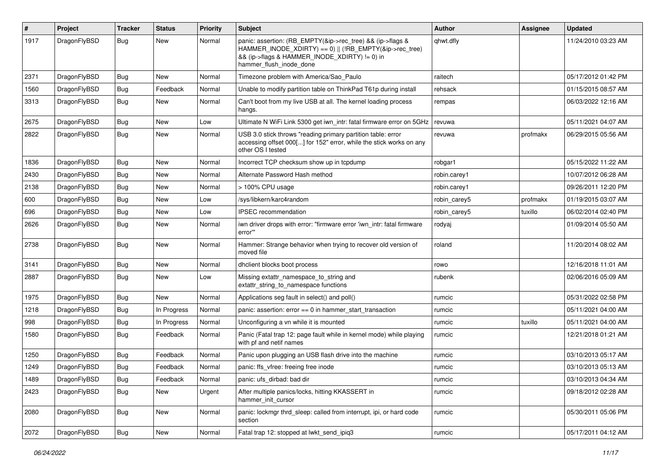| #    | Project      | <b>Tracker</b> | <b>Status</b> | <b>Priority</b> | Subject                                                                                                                                                                                           | Author       | Assignee | <b>Updated</b>      |
|------|--------------|----------------|---------------|-----------------|---------------------------------------------------------------------------------------------------------------------------------------------------------------------------------------------------|--------------|----------|---------------------|
| 1917 | DragonFlyBSD | Bug            | New           | Normal          | panic: assertion: (RB_EMPTY(&ip->rec_tree) && (ip->flags &<br>HAMMER_INODE_XDIRTY) == 0)    (!RB_EMPTY(&ip->rec_tree)<br>&& (ip->flags & HAMMER_INODE_XDIRTY) != 0) in<br>hammer_flush_inode_done | qhwt.dfly    |          | 11/24/2010 03:23 AM |
| 2371 | DragonFlyBSD | Bug            | <b>New</b>    | Normal          | Timezone problem with America/Sao_Paulo                                                                                                                                                           | raitech      |          | 05/17/2012 01:42 PM |
| 1560 | DragonFlyBSD | <b>Bug</b>     | Feedback      | Normal          | Unable to modify partition table on ThinkPad T61p during install                                                                                                                                  | rehsack      |          | 01/15/2015 08:57 AM |
| 3313 | DragonFlyBSD | Bug            | New           | Normal          | Can't boot from my live USB at all. The kernel loading process<br>hangs.                                                                                                                          | rempas       |          | 06/03/2022 12:16 AM |
| 2675 | DragonFlyBSD | <b>Bug</b>     | <b>New</b>    | Low             | Ultimate N WiFi Link 5300 get iwn_intr: fatal firmware error on 5GHz                                                                                                                              | revuwa       |          | 05/11/2021 04:07 AM |
| 2822 | DragonFlyBSD | Bug            | <b>New</b>    | Normal          | USB 3.0 stick throws "reading primary partition table: error<br>accessing offset 000[] for 152" error, while the stick works on any<br>other OS I tested                                          | revuwa       | profmakx | 06/29/2015 05:56 AM |
| 1836 | DragonFlyBSD | <b>Bug</b>     | <b>New</b>    | Normal          | Incorrect TCP checksum show up in tcpdump                                                                                                                                                         | robgar1      |          | 05/15/2022 11:22 AM |
| 2430 | DragonFlyBSD | Bug            | New           | Normal          | Alternate Password Hash method                                                                                                                                                                    | robin.carey1 |          | 10/07/2012 06:28 AM |
| 2138 | DragonFlyBSD | Bug            | <b>New</b>    | Normal          | > 100% CPU usage                                                                                                                                                                                  | robin.carey1 |          | 09/26/2011 12:20 PM |
| 600  | DragonFlyBSD | <b>Bug</b>     | <b>New</b>    | Low             | /sys/libkern/karc4random                                                                                                                                                                          | robin carey5 | profmakx | 01/19/2015 03:07 AM |
| 696  | DragonFlyBSD | <b>Bug</b>     | New           | Low             | IPSEC recommendation                                                                                                                                                                              | robin carey5 | tuxillo  | 06/02/2014 02:40 PM |
| 2626 | DragonFlyBSD | Bug            | <b>New</b>    | Normal          | iwn driver drops with error: "firmware error 'iwn_intr: fatal firmware<br>error"                                                                                                                  | rodyaj       |          | 01/09/2014 05:50 AM |
| 2738 | DragonFlyBSD | Bug            | <b>New</b>    | Normal          | Hammer: Strange behavior when trying to recover old version of<br>moved file                                                                                                                      | roland       |          | 11/20/2014 08:02 AM |
| 3141 | DragonFlyBSD | Bug            | <b>New</b>    | Normal          | dhclient blocks boot process                                                                                                                                                                      | rowo         |          | 12/16/2018 11:01 AM |
| 2887 | DragonFlyBSD | Bug            | New           | Low             | Missing extattr_namespace_to_string and<br>extattr_string_to_namespace functions                                                                                                                  | rubenk       |          | 02/06/2016 05:09 AM |
| 1975 | DragonFlyBSD | <b>Bug</b>     | New           | Normal          | Applications seg fault in select() and poll()                                                                                                                                                     | rumcic       |          | 05/31/2022 02:58 PM |
| 1218 | DragonFlyBSD | Bug            | In Progress   | Normal          | panic: assertion: $error == 0$ in hammer start transaction                                                                                                                                        | rumcic       |          | 05/11/2021 04:00 AM |
| 998  | DragonFlyBSD | Bug            | In Progress   | Normal          | Unconfiguring a vn while it is mounted                                                                                                                                                            | rumcic       | tuxillo  | 05/11/2021 04:00 AM |
| 1580 | DragonFlyBSD | Bug            | Feedback      | Normal          | Panic (Fatal trap 12: page fault while in kernel mode) while playing<br>with pf and netif names                                                                                                   | rumcic       |          | 12/21/2018 01:21 AM |
| 1250 | DragonFlyBSD | Bug            | Feedback      | Normal          | Panic upon plugging an USB flash drive into the machine                                                                                                                                           | rumcic       |          | 03/10/2013 05:17 AM |
| 1249 | DragonFlyBSD | <b>Bug</b>     | Feedback      | Normal          | panic: ffs vfree: freeing free inode                                                                                                                                                              | rumcic       |          | 03/10/2013 05:13 AM |
| 1489 | DragonFlyBSD | Bug            | Feedback      | Normal          | panic: ufs_dirbad: bad dir                                                                                                                                                                        | rumcic       |          | 03/10/2013 04:34 AM |
| 2423 | DragonFlyBSD | <b>Bug</b>     | New           | Urgent          | After multiple panics/locks, hitting KKASSERT in<br>hammer init cursor                                                                                                                            | rumcic       |          | 09/18/2012 02:28 AM |
| 2080 | DragonFlyBSD | Bug            | New           | Normal          | panic: lockmgr thrd sleep: called from interrupt, ipi, or hard code<br>section                                                                                                                    | rumcic       |          | 05/30/2011 05:06 PM |
| 2072 | DragonFlyBSD | <b>Bug</b>     | New           | Normal          | Fatal trap 12: stopped at lwkt_send_ipiq3                                                                                                                                                         | rumcic       |          | 05/17/2011 04:12 AM |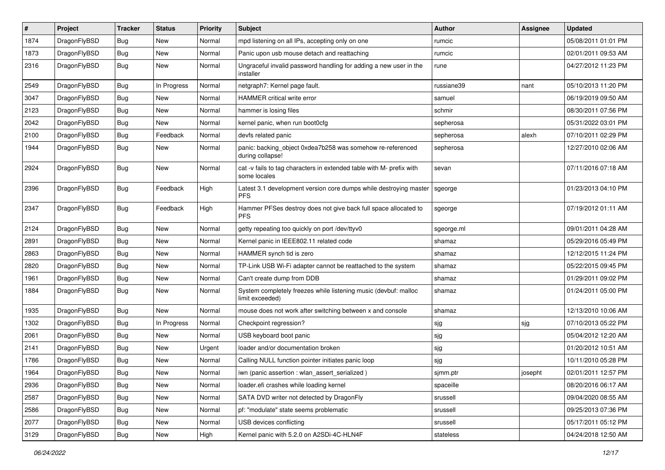| $\sharp$ | Project      | <b>Tracker</b> | <b>Status</b> | <b>Priority</b> | Subject                                                                              | Author     | <b>Assignee</b> | <b>Updated</b>      |
|----------|--------------|----------------|---------------|-----------------|--------------------------------------------------------------------------------------|------------|-----------------|---------------------|
| 1874     | DragonFlyBSD | Bug            | <b>New</b>    | Normal          | mpd listening on all IPs, accepting only on one                                      | rumcic     |                 | 05/08/2011 01:01 PM |
| 1873     | DragonFlyBSD | Bug            | <b>New</b>    | Normal          | Panic upon usb mouse detach and reattaching                                          | rumcic     |                 | 02/01/2011 09:53 AM |
| 2316     | DragonFlyBSD | <b>Bug</b>     | New           | Normal          | Ungraceful invalid password handling for adding a new user in the<br>installer       | rune       |                 | 04/27/2012 11:23 PM |
| 2549     | DragonFlyBSD | Bug            | In Progress   | Normal          | netgraph7: Kernel page fault.                                                        | russiane39 | nant            | 05/10/2013 11:20 PM |
| 3047     | DragonFlyBSD | <b>Bug</b>     | New           | Normal          | HAMMER critical write error                                                          | samuel     |                 | 06/19/2019 09:50 AM |
| 2123     | DragonFlyBSD | <b>Bug</b>     | <b>New</b>    | Normal          | hammer is losing files                                                               | schmir     |                 | 08/30/2011 07:56 PM |
| 2042     | DragonFlyBSD | Bug            | <b>New</b>    | Normal          | kernel panic, when run boot0cfg                                                      | sepherosa  |                 | 05/31/2022 03:01 PM |
| 2100     | DragonFlyBSD | <b>Bug</b>     | Feedback      | Normal          | devfs related panic                                                                  | sepherosa  | alexh           | 07/10/2011 02:29 PM |
| 1944     | DragonFlyBSD | <b>Bug</b>     | New           | Normal          | panic: backing_object 0xdea7b258 was somehow re-referenced<br>during collapse!       | sepherosa  |                 | 12/27/2010 02:06 AM |
| 2924     | DragonFlyBSD | <b>Bug</b>     | <b>New</b>    | Normal          | cat -v fails to tag characters in extended table with M- prefix with<br>some locales | sevan      |                 | 07/11/2016 07:18 AM |
| 2396     | DragonFlyBSD | Bug            | Feedback      | High            | Latest 3.1 development version core dumps while destroying master<br><b>PFS</b>      | sgeorge    |                 | 01/23/2013 04:10 PM |
| 2347     | DragonFlyBSD | <b>Bug</b>     | Feedback      | High            | Hammer PFSes destroy does not give back full space allocated to<br><b>PFS</b>        | sgeorge    |                 | 07/19/2012 01:11 AM |
| 2124     | DragonFlyBSD | Bug            | <b>New</b>    | Normal          | getty repeating too quickly on port /dev/ttyv0                                       | sgeorge.ml |                 | 09/01/2011 04:28 AM |
| 2891     | DragonFlyBSD | Bug            | <b>New</b>    | Normal          | Kernel panic in IEEE802.11 related code                                              | shamaz     |                 | 05/29/2016 05:49 PM |
| 2863     | DragonFlyBSD | <b>Bug</b>     | New           | Normal          | HAMMER synch tid is zero                                                             | shamaz     |                 | 12/12/2015 11:24 PM |
| 2820     | DragonFlyBSD | Bug            | <b>New</b>    | Normal          | TP-Link USB Wi-Fi adapter cannot be reattached to the system                         | shamaz     |                 | 05/22/2015 09:45 PM |
| 1961     | DragonFlyBSD | <b>Bug</b>     | <b>New</b>    | Normal          | Can't create dump from DDB                                                           | shamaz     |                 | 01/29/2011 09:02 PM |
| 1884     | DragonFlyBSD | Bug            | New           | Normal          | System completely freezes while listening music (devbuf: malloc<br>limit exceeded)   | shamaz     |                 | 01/24/2011 05:00 PM |
| 1935     | DragonFlyBSD | Bug            | <b>New</b>    | Normal          | mouse does not work after switching between x and console                            | shamaz     |                 | 12/13/2010 10:06 AM |
| 1302     | DragonFlyBSD | Bug            | In Progress   | Normal          | Checkpoint regression?                                                               | sjg        | sjg             | 07/10/2013 05:22 PM |
| 2061     | DragonFlyBSD | Bug            | <b>New</b>    | Normal          | USB keyboard boot panic                                                              | sjg        |                 | 05/04/2012 12:20 AM |
| 2141     | DragonFlyBSD | Bug            | New           | Urgent          | loader and/or documentation broken                                                   | sjg        |                 | 01/20/2012 10:51 AM |
| 1786     | DragonFlyBSD | Bug            | <b>New</b>    | Normal          | Calling NULL function pointer initiates panic loop                                   | sjg        |                 | 10/11/2010 05:28 PM |
| 1964     | DragonFlyBSD | Bug            | New           | Normal          | iwn (panic assertion : wlan assert serialized)                                       | simm.ptr   | josepht         | 02/01/2011 12:57 PM |
| 2936     | DragonFlyBSD | Bug            | New           | Normal          | loader.efi crashes while loading kernel                                              | spaceille  |                 | 08/20/2016 06:17 AM |
| 2587     | DragonFlyBSD | Bug            | New           | Normal          | SATA DVD writer not detected by DragonFly                                            | srussell   |                 | 09/04/2020 08:55 AM |
| 2586     | DragonFlyBSD | <b>Bug</b>     | New           | Normal          | pf: "modulate" state seems problematic                                               | srussell   |                 | 09/25/2013 07:36 PM |
| 2077     | DragonFlyBSD | Bug            | New           | Normal          | USB devices conflicting                                                              | srussell   |                 | 05/17/2011 05:12 PM |
| 3129     | DragonFlyBSD | Bug            | New           | High            | Kernel panic with 5.2.0 on A2SDi-4C-HLN4F                                            | stateless  |                 | 04/24/2018 12:50 AM |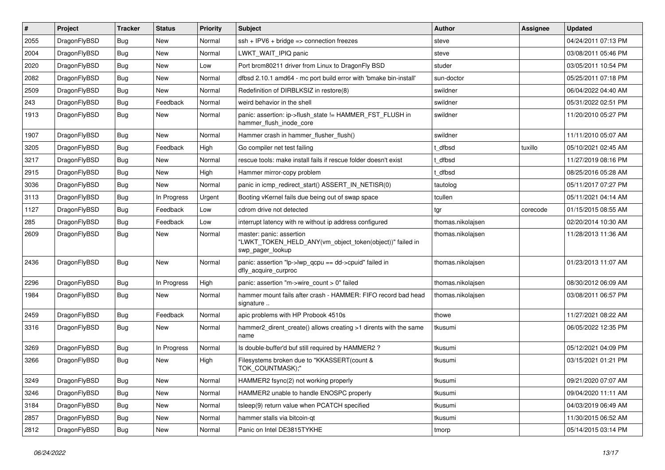| #    | Project      | <b>Tracker</b> | <b>Status</b> | <b>Priority</b> | Subject                                                                                                  | <b>Author</b>     | <b>Assignee</b> | <b>Updated</b>      |
|------|--------------|----------------|---------------|-----------------|----------------------------------------------------------------------------------------------------------|-------------------|-----------------|---------------------|
| 2055 | DragonFlyBSD | Bug            | <b>New</b>    | Normal          | ssh + IPV6 + bridge => connection freezes                                                                | steve             |                 | 04/24/2011 07:13 PM |
| 2004 | DragonFlyBSD | Bug            | <b>New</b>    | Normal          | LWKT_WAIT_IPIQ panic                                                                                     | steve             |                 | 03/08/2011 05:46 PM |
| 2020 | DragonFlyBSD | Bug            | <b>New</b>    | Low             | Port brcm80211 driver from Linux to Dragon Fly BSD                                                       | studer            |                 | 03/05/2011 10:54 PM |
| 2082 | DragonFlyBSD | Bug            | <b>New</b>    | Normal          | dfbsd 2.10.1 amd64 - mc port build error with 'bmake bin-install'                                        | sun-doctor        |                 | 05/25/2011 07:18 PM |
| 2509 | DragonFlyBSD | Bug            | <b>New</b>    | Normal          | Redefinition of DIRBLKSIZ in restore(8)                                                                  | swildner          |                 | 06/04/2022 04:40 AM |
| 243  | DragonFlyBSD | Bug            | Feedback      | Normal          | weird behavior in the shell                                                                              | swildner          |                 | 05/31/2022 02:51 PM |
| 1913 | DragonFlyBSD | Bug            | New           | Normal          | panic: assertion: ip->flush_state != HAMMER_FST_FLUSH in<br>hammer_flush_inode_core                      | swildner          |                 | 11/20/2010 05:27 PM |
| 1907 | DragonFlyBSD | Bug            | New           | Normal          | Hammer crash in hammer_flusher_flush()                                                                   | swildner          |                 | 11/11/2010 05:07 AM |
| 3205 | DragonFlyBSD | Bug            | Feedback      | High            | Go compiler net test failing                                                                             | t_dfbsd           | tuxillo         | 05/10/2021 02:45 AM |
| 3217 | DragonFlyBSD | Bug            | <b>New</b>    | Normal          | rescue tools: make install fails if rescue folder doesn't exist                                          | : dfbsd           |                 | 11/27/2019 08:16 PM |
| 2915 | DragonFlyBSD | Bug            | New           | High            | Hammer mirror-copy problem                                                                               | t dfbsd           |                 | 08/25/2016 05:28 AM |
| 3036 | DragonFlyBSD | Bug            | New           | Normal          | panic in icmp_redirect_start() ASSERT_IN_NETISR(0)                                                       | tautolog          |                 | 05/11/2017 07:27 PM |
| 3113 | DragonFlyBSD | Bug            | In Progress   | Urgent          | Booting vKernel fails due being out of swap space                                                        | tcullen           |                 | 05/11/2021 04:14 AM |
| 1127 | DragonFlyBSD | Bug            | Feedback      | Low             | cdrom drive not detected                                                                                 | tgr               | corecode        | 01/15/2015 08:55 AM |
| 285  | DragonFlyBSD | Bug            | Feedback      | Low             | interrupt latency with re without ip address configured                                                  | thomas.nikolajsen |                 | 02/20/2014 10:30 AM |
| 2609 | DragonFlyBSD | Bug            | New           | Normal          | master: panic: assertion<br>"LWKT TOKEN HELD ANY(vm object token(object))" failed in<br>swp_pager_lookup | thomas.nikolajsen |                 | 11/28/2013 11:36 AM |
| 2436 | DragonFlyBSD | Bug            | <b>New</b>    | Normal          | panic: assertion "lp->lwp_qcpu == dd->cpuid" failed in<br>dfly acquire curproc                           | thomas.nikolajsen |                 | 01/23/2013 11:07 AM |
| 2296 | DragonFlyBSD | Bug            | In Progress   | High            | panic: assertion "m->wire count > 0" failed                                                              | thomas.nikolajsen |                 | 08/30/2012 06:09 AM |
| 1984 | DragonFlyBSD | Bug            | New           | Normal          | hammer mount fails after crash - HAMMER: FIFO record bad head<br>signature                               | thomas.nikolajsen |                 | 03/08/2011 06:57 PM |
| 2459 | DragonFlyBSD | Bug            | Feedback      | Normal          | apic problems with HP Probook 4510s                                                                      | thowe             |                 | 11/27/2021 08:22 AM |
| 3316 | DragonFlyBSD | Bug            | <b>New</b>    | Normal          | hammer2_dirent_create() allows creating >1 dirents with the same<br>name                                 | tkusumi           |                 | 06/05/2022 12:35 PM |
| 3269 | DragonFlyBSD | Bug            | In Progress   | Normal          | Is double-buffer'd buf still required by HAMMER2 ?                                                       | tkusumi           |                 | 05/12/2021 04:09 PM |
| 3266 | DragonFlyBSD | Bug            | New           | High            | Filesystems broken due to "KKASSERT(count &<br>TOK_COUNTMASK);"                                          | tkusumi           |                 | 03/15/2021 01:21 PM |
| 3249 | DragonFlyBSD | Bug            | New           | Normal          | HAMMER2 fsync(2) not working properly                                                                    | tkusumi           |                 | 09/21/2020 07:07 AM |
| 3246 | DragonFlyBSD | <b>Bug</b>     | New           | Normal          | HAMMER2 unable to handle ENOSPC properly                                                                 | tkusumi           |                 | 09/04/2020 11:11 AM |
| 3184 | DragonFlyBSD | Bug            | New           | Normal          | tsleep(9) return value when PCATCH specified                                                             | tkusumi           |                 | 04/03/2019 06:49 AM |
| 2857 | DragonFlyBSD | <b>Bug</b>     | New           | Normal          | hammer stalls via bitcoin-qt                                                                             | tkusumi           |                 | 11/30/2015 06:52 AM |
| 2812 | DragonFlyBSD | <b>Bug</b>     | New           | Normal          | Panic on Intel DE3815TYKHE                                                                               | tmorp             |                 | 05/14/2015 03:14 PM |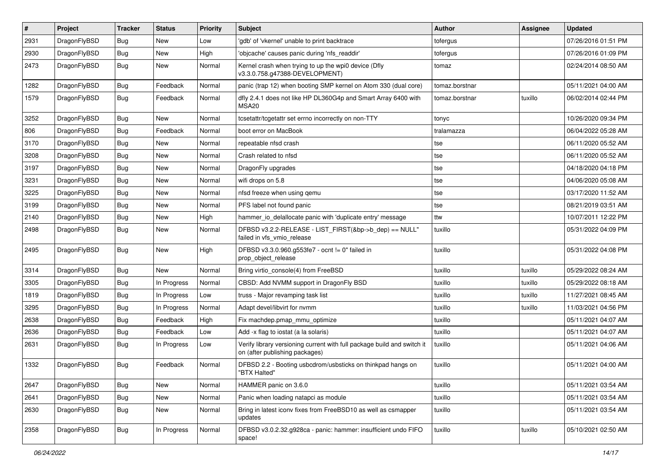| #    | Project      | <b>Tracker</b> | <b>Status</b> | <b>Priority</b> | Subject                                                                                                   | Author         | <b>Assignee</b> | <b>Updated</b>      |
|------|--------------|----------------|---------------|-----------------|-----------------------------------------------------------------------------------------------------------|----------------|-----------------|---------------------|
| 2931 | DragonFlyBSD | Bug            | <b>New</b>    | Low             | 'gdb' of 'vkernel' unable to print backtrace                                                              | tofergus       |                 | 07/26/2016 01:51 PM |
| 2930 | DragonFlyBSD | <b>Bug</b>     | <b>New</b>    | High            | 'objcache' causes panic during 'nfs_readdir'                                                              | tofergus       |                 | 07/26/2016 01:09 PM |
| 2473 | DragonFlyBSD | <b>Bug</b>     | New           | Normal          | Kernel crash when trying to up the wpi0 device (Dfly<br>v3.3.0.758.g47388-DEVELOPMENT)                    | tomaz          |                 | 02/24/2014 08:50 AM |
| 1282 | DragonFlyBSD | <b>Bug</b>     | Feedback      | Normal          | panic (trap 12) when booting SMP kernel on Atom 330 (dual core)                                           | tomaz.borstnar |                 | 05/11/2021 04:00 AM |
| 1579 | DragonFlyBSD | <b>Bug</b>     | Feedback      | Normal          | dfly 2.4.1 does not like HP DL360G4p and Smart Array 6400 with<br>MSA <sub>20</sub>                       | tomaz.borstnar | tuxillo         | 06/02/2014 02:44 PM |
| 3252 | DragonFlyBSD | Bug            | New           | Normal          | tcsetattr/tcgetattr set errno incorrectly on non-TTY                                                      | tonyc          |                 | 10/26/2020 09:34 PM |
| 806  | DragonFlyBSD | <b>Bug</b>     | Feedback      | Normal          | boot error on MacBook                                                                                     | tralamazza     |                 | 06/04/2022 05:28 AM |
| 3170 | DragonFlyBSD | <b>Bug</b>     | <b>New</b>    | Normal          | repeatable nfsd crash                                                                                     | tse            |                 | 06/11/2020 05:52 AM |
| 3208 | DragonFlyBSD | <b>Bug</b>     | New           | Normal          | Crash related to nfsd                                                                                     | tse            |                 | 06/11/2020 05:52 AM |
| 3197 | DragonFlyBSD | Bug            | <b>New</b>    | Normal          | DragonFly upgrades                                                                                        | tse            |                 | 04/18/2020 04:18 PM |
| 3231 | DragonFlyBSD | Bug            | New           | Normal          | wifi drops on 5.8                                                                                         | tse            |                 | 04/06/2020 05:08 AM |
| 3225 | DragonFlyBSD | <b>Bug</b>     | New           | Normal          | nfsd freeze when using qemu                                                                               | tse            |                 | 03/17/2020 11:52 AM |
| 3199 | DragonFlyBSD | Bug            | <b>New</b>    | Normal          | PFS label not found panic                                                                                 | tse            |                 | 08/21/2019 03:51 AM |
| 2140 | DragonFlyBSD | Bug            | New           | High            | hammer io delallocate panic with 'duplicate entry' message                                                | ttw            |                 | 10/07/2011 12:22 PM |
| 2498 | DragonFlyBSD | Bug            | New           | Normal          | DFBSD v3.2.2-RELEASE - LIST_FIRST(&bp->b_dep) == NULL"<br>failed in vfs_vmio_release                      | tuxillo        |                 | 05/31/2022 04:09 PM |
| 2495 | DragonFlyBSD | <b>Bug</b>     | New           | High            | DFBSD v3.3.0.960.g553fe7 - ocnt != 0" failed in<br>prop_object_release                                    | tuxillo        |                 | 05/31/2022 04:08 PM |
| 3314 | DragonFlyBSD | Bug            | New           | Normal          | Bring virtio_console(4) from FreeBSD                                                                      | tuxillo        | tuxillo         | 05/29/2022 08:24 AM |
| 3305 | DragonFlyBSD | <b>Bug</b>     | In Progress   | Normal          | CBSD: Add NVMM support in DragonFly BSD                                                                   | tuxillo        | tuxillo         | 05/29/2022 08:18 AM |
| 1819 | DragonFlyBSD | <b>Bug</b>     | In Progress   | Low             | truss - Major revamping task list                                                                         | tuxillo        | tuxillo         | 11/27/2021 08:45 AM |
| 3295 | DragonFlyBSD | Bug            | In Progress   | Normal          | Adapt devel/libvirt for nvmm                                                                              | tuxillo        | tuxillo         | 11/03/2021 04:56 PM |
| 2638 | DragonFlyBSD | Bug            | Feedback      | High            | Fix machdep.pmap_mmu_optimize                                                                             | tuxillo        |                 | 05/11/2021 04:07 AM |
| 2636 | DragonFlyBSD | Bug            | Feedback      | Low             | Add -x flag to iostat (a la solaris)                                                                      | tuxillo        |                 | 05/11/2021 04:07 AM |
| 2631 | DragonFlyBSD | <b>Bug</b>     | In Progress   | Low             | Verify library versioning current with full package build and switch it<br>on (after publishing packages) | tuxillo        |                 | 05/11/2021 04:06 AM |
| 1332 | DragonFlyBSD | Bug            | Feedback      | Normal          | DFBSD 2.2 - Booting usbcdrom/usbsticks on thinkpad hangs on<br>"BTX Halted"                               | tuxillo        |                 | 05/11/2021 04:00 AM |
| 2647 | DragonFlyBSD | Bug            | New           | Normal          | HAMMER panic on 3.6.0                                                                                     | tuxillo        |                 | 05/11/2021 03:54 AM |
| 2641 | DragonFlyBSD | <b>Bug</b>     | New           | Normal          | Panic when loading natapci as module                                                                      | tuxillo        |                 | 05/11/2021 03:54 AM |
| 2630 | DragonFlyBSD | <b>Bug</b>     | New           | Normal          | Bring in latest iconv fixes from FreeBSD10 as well as csmapper<br>updates                                 | tuxillo        |                 | 05/11/2021 03:54 AM |
| 2358 | DragonFlyBSD | Bug            | In Progress   | Normal          | DFBSD v3.0.2.32.g928ca - panic: hammer: insufficient undo FIFO<br>space!                                  | tuxillo        | tuxillo         | 05/10/2021 02:50 AM |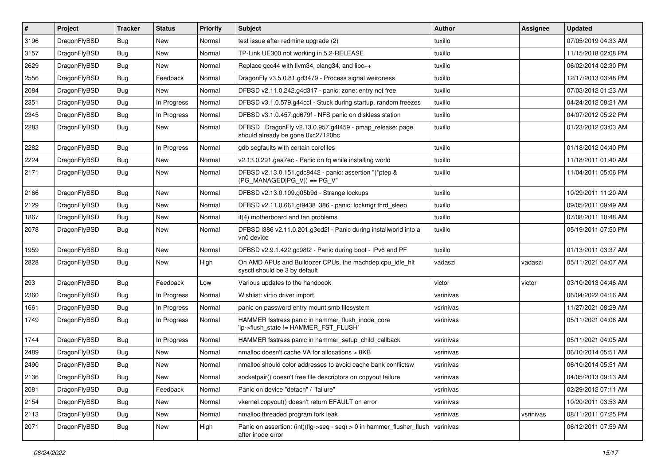| $\pmb{\#}$ | Project      | <b>Tracker</b> | <b>Status</b> | <b>Priority</b> | Subject                                                                                      | <b>Author</b> | Assignee  | <b>Updated</b>      |
|------------|--------------|----------------|---------------|-----------------|----------------------------------------------------------------------------------------------|---------------|-----------|---------------------|
| 3196       | DragonFlyBSD | Bug            | <b>New</b>    | Normal          | test issue after redmine upgrade (2)                                                         | tuxillo       |           | 07/05/2019 04:33 AM |
| 3157       | DragonFlyBSD | Bug            | <b>New</b>    | Normal          | TP-Link UE300 not working in 5.2-RELEASE                                                     | tuxillo       |           | 11/15/2018 02:08 PM |
| 2629       | DragonFlyBSD | Bug            | New           | Normal          | Replace gcc44 with llvm34, clang34, and libc++                                               | tuxillo       |           | 06/02/2014 02:30 PM |
| 2556       | DragonFlyBSD | Bug            | Feedback      | Normal          | DragonFly v3.5.0.81.gd3479 - Process signal weirdness                                        | tuxillo       |           | 12/17/2013 03:48 PM |
| 2084       | DragonFlyBSD | Bug            | <b>New</b>    | Normal          | DFBSD v2.11.0.242.g4d317 - panic: zone: entry not free                                       | tuxillo       |           | 07/03/2012 01:23 AM |
| 2351       | DragonFlyBSD | Bug            | In Progress   | Normal          | DFBSD v3.1.0.579.g44ccf - Stuck during startup, random freezes                               | tuxillo       |           | 04/24/2012 08:21 AM |
| 2345       | DragonFlyBSD | Bug            | In Progress   | Normal          | DFBSD v3.1.0.457.gd679f - NFS panic on diskless station                                      | tuxillo       |           | 04/07/2012 05:22 PM |
| 2283       | DragonFlyBSD | Bug            | New           | Normal          | DFBSD DragonFly v2.13.0.957.g4f459 - pmap_release: page<br>should already be gone 0xc27120bc | tuxillo       |           | 01/23/2012 03:03 AM |
| 2282       | DragonFlyBSD | Bug            | In Progress   | Normal          | gdb segfaults with certain corefiles                                                         | tuxillo       |           | 01/18/2012 04:40 PM |
| 2224       | DragonFlyBSD | Bug            | <b>New</b>    | Normal          | v2.13.0.291.gaa7ec - Panic on fq while installing world                                      | tuxillo       |           | 11/18/2011 01:40 AM |
| 2171       | DragonFlyBSD | Bug            | <b>New</b>    | Normal          | DFBSD v2.13.0.151.gdc8442 - panic: assertion "(*ptep &<br>$(PG$ MANAGED $ PG$ V)) == $PG$ V" | tuxillo       |           | 11/04/2011 05:06 PM |
| 2166       | DragonFlyBSD | Bug            | <b>New</b>    | Normal          | DFBSD v2.13.0.109.g05b9d - Strange lockups                                                   | tuxillo       |           | 10/29/2011 11:20 AM |
| 2129       | DragonFlyBSD | Bug            | <b>New</b>    | Normal          | DFBSD v2.11.0.661.gf9438 i386 - panic: lockmgr thrd sleep                                    | tuxillo       |           | 09/05/2011 09:49 AM |
| 1867       | DragonFlyBSD | Bug            | <b>New</b>    | Normal          | it(4) motherboard and fan problems                                                           | tuxillo       |           | 07/08/2011 10:48 AM |
| 2078       | DragonFlyBSD | Bug            | <b>New</b>    | Normal          | DFBSD i386 v2.11.0.201.g3ed2f - Panic during installworld into a<br>vn0 device               | tuxillo       |           | 05/19/2011 07:50 PM |
| 1959       | DragonFlyBSD | Bug            | <b>New</b>    | Normal          | DFBSD v2.9.1.422.gc98f2 - Panic during boot - IPv6 and PF                                    | tuxillo       |           | 01/13/2011 03:37 AM |
| 2828       | DragonFlyBSD | Bug            | <b>New</b>    | High            | On AMD APUs and Bulldozer CPUs, the machdep.cpu_idle_hlt<br>sysctl should be 3 by default    | vadaszi       | vadaszi   | 05/11/2021 04:07 AM |
| 293        | DragonFlyBSD | Bug            | Feedback      | Low             | Various updates to the handbook                                                              | victor        | victor    | 03/10/2013 04:46 AM |
| 2360       | DragonFlyBSD | Bug            | In Progress   | Normal          | Wishlist: virtio driver import                                                               | vsrinivas     |           | 06/04/2022 04:16 AM |
| 1661       | DragonFlyBSD | Bug            | In Progress   | Normal          | panic on password entry mount smb filesystem                                                 | vsrinivas     |           | 11/27/2021 08:29 AM |
| 1749       | DragonFlyBSD | Bug            | In Progress   | Normal          | HAMMER fsstress panic in hammer_flush_inode_core<br>'ip->flush_state != HAMMER_FST_FLUSH'    | vsrinivas     |           | 05/11/2021 04:06 AM |
| 1744       | DragonFlyBSD | Bug            | In Progress   | Normal          | HAMMER fsstress panic in hammer setup child callback                                         | vsrinivas     |           | 05/11/2021 04:05 AM |
| 2489       | DragonFlyBSD | Bug            | <b>New</b>    | Normal          | nmalloc doesn't cache VA for allocations > 8KB                                               | vsrinivas     |           | 06/10/2014 05:51 AM |
| 2490       | DragonFlyBSD | Bug            | <b>New</b>    | Normal          | nmalloc should color addresses to avoid cache bank conflictsw                                | vsrinivas     |           | 06/10/2014 05:51 AM |
| 2136       | DragonFlyBSD | Bug            | I New         | Normal          | socketpair() doesn't free file descriptors on copyout failure                                | vsrinivas     |           | 04/05/2013 09:13 AM |
| 2081       | DragonFlyBSD | Bug            | Feedback      | Normal          | Panic on device "detach" / "failure"                                                         | vsrinivas     |           | 02/29/2012 07:11 AM |
| 2154       | DragonFlyBSD | <b>Bug</b>     | New           | Normal          | vkernel copyout() doesn't return EFAULT on error                                             | vsrinivas     |           | 10/20/2011 03:53 AM |
| 2113       | DragonFlyBSD | <b>Bug</b>     | New           | Normal          | nmalloc threaded program fork leak                                                           | vsrinivas     | vsrinivas | 08/11/2011 07:25 PM |
| 2071       | DragonFlyBSD | <b>Bug</b>     | New           | High            | Panic on assertion: (int)(flg->seq - seq) > 0 in hammer_flusher_flush<br>after inode error   | vsrinivas     |           | 06/12/2011 07:59 AM |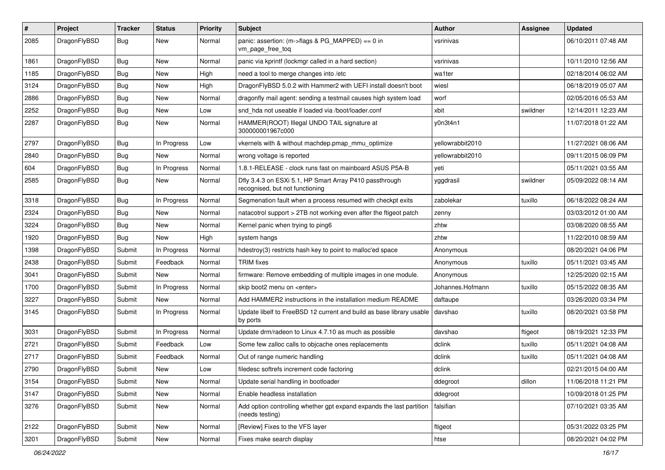| #    | Project      | <b>Tracker</b> | <b>Status</b> | <b>Priority</b> | Subject                                                                                    | <b>Author</b>    | Assignee | <b>Updated</b>      |
|------|--------------|----------------|---------------|-----------------|--------------------------------------------------------------------------------------------|------------------|----------|---------------------|
| 2085 | DragonFlyBSD | Bug            | New           | Normal          | panic: assertion: (m->flags & PG_MAPPED) == 0 in<br>vm_page_free_toq                       | vsrinivas        |          | 06/10/2011 07:48 AM |
| 1861 | DragonFlyBSD | Bug            | New           | Normal          | panic via kprintf (lockmgr called in a hard section)                                       | vsrinivas        |          | 10/11/2010 12:56 AM |
| 1185 | DragonFlyBSD | Bug            | New           | High            | need a tool to merge changes into /etc                                                     | wa1ter           |          | 02/18/2014 06:02 AM |
| 3124 | DragonFlyBSD | Bug            | New           | High            | DragonFlyBSD 5.0.2 with Hammer2 with UEFI install doesn't boot                             | wiesl            |          | 06/18/2019 05:07 AM |
| 2886 | DragonFlyBSD | Bug            | New           | Normal          | dragonfly mail agent: sending a testmail causes high system load                           | worf             |          | 02/05/2016 05:53 AM |
| 2252 | DragonFlyBSD | Bug            | <b>New</b>    | Low             | snd hda not useable if loaded via /boot/loader.conf                                        | xbit             | swildner | 12/14/2011 12:23 AM |
| 2287 | DragonFlyBSD | Bug            | New           | Normal          | HAMMER(ROOT) Illegal UNDO TAIL signature at<br>300000001967c000                            | y0n3t4n1         |          | 11/07/2018 01:22 AM |
| 2797 | DragonFlyBSD | Bug            | In Progress   | Low             | vkernels with & without machdep.pmap_mmu_optimize                                          | yellowrabbit2010 |          | 11/27/2021 08:06 AM |
| 2840 | DragonFlyBSD | Bug            | <b>New</b>    | Normal          | wrong voltage is reported                                                                  | yellowrabbit2010 |          | 09/11/2015 06:09 PM |
| 604  | DragonFlyBSD | Bug            | In Progress   | Normal          | 1.8.1-RELEASE - clock runs fast on mainboard ASUS P5A-B                                    | yeti             |          | 05/11/2021 03:55 AM |
| 2585 | DragonFlyBSD | Bug            | New           | Normal          | Dfly 3.4.3 on ESXi 5.1, HP Smart Array P410 passthrough<br>recognised, but not functioning | yggdrasil        | swildner | 05/09/2022 08:14 AM |
| 3318 | DragonFlyBSD | Bug            | In Progress   | Normal          | Segmenation fault when a process resumed with checkpt exits                                | zabolekar        | tuxillo  | 06/18/2022 08:24 AM |
| 2324 | DragonFlyBSD | Bug            | <b>New</b>    | Normal          | natacotrol support > 2TB not working even after the ftigeot patch                          | zenny            |          | 03/03/2012 01:00 AM |
| 3224 | DragonFlyBSD | Bug            | New           | Normal          | Kernel panic when trying to ping6                                                          | zhtw             |          | 03/08/2020 08:55 AM |
| 1920 | DragonFlyBSD | Bug            | <b>New</b>    | High            | system hangs                                                                               | zhtw             |          | 11/22/2010 08:59 AM |
| 1398 | DragonFlyBSD | Submit         | In Progress   | Normal          | hdestroy(3) restricts hash key to point to malloc'ed space                                 | Anonymous        |          | 08/20/2021 04:06 PM |
| 2438 | DragonFlyBSD | Submit         | Feedback      | Normal          | <b>TRIM</b> fixes                                                                          | Anonymous        | tuxillo  | 05/11/2021 03:45 AM |
| 3041 | DragonFlyBSD | Submit         | New           | Normal          | firmware: Remove embedding of multiple images in one module.                               | Anonymous        |          | 12/25/2020 02:15 AM |
| 1700 | DragonFlyBSD | Submit         | In Progress   | Normal          | skip boot2 menu on <enter></enter>                                                         | Johannes.Hofmann | tuxillo  | 05/15/2022 08:35 AM |
| 3227 | DragonFlyBSD | Submit         | <b>New</b>    | Normal          | Add HAMMER2 instructions in the installation medium README                                 | daftaupe         |          | 03/26/2020 03:34 PM |
| 3145 | DragonFlyBSD | Submit         | In Progress   | Normal          | Update libelf to FreeBSD 12 current and build as base library usable<br>by ports           | davshao          | tuxillo  | 08/20/2021 03:58 PM |
| 3031 | DragonFlyBSD | Submit         | In Progress   | Normal          | Update drm/radeon to Linux 4.7.10 as much as possible                                      | davshao          | ftigeot  | 08/19/2021 12:33 PM |
| 2721 | DragonFlyBSD | Submit         | Feedback      | Low             | Some few zalloc calls to objcache ones replacements                                        | dclink           | tuxillo  | 05/11/2021 04:08 AM |
| 2717 | DragonFlyBSD | Submit         | Feedback      | Normal          | Out of range numeric handling                                                              | dclink           | tuxillo  | 05/11/2021 04:08 AM |
| 2790 | DragonFlyBSD | Submit         | New           | Low             | filedesc softrefs increment code factoring                                                 | dclink           |          | 02/21/2015 04:00 AM |
| 3154 | DragonFlyBSD | Submit         | New           | Normal          | Update serial handling in bootloader                                                       | ddegroot         | dillon   | 11/06/2018 11:21 PM |
| 3147 | DragonFlyBSD | Submit         | <b>New</b>    | Normal          | Enable headless installation                                                               | ddegroot         |          | 10/09/2018 01:25 PM |
| 3276 | DragonFlyBSD | Submit         | New           | Normal          | Add option controlling whether gpt expand expands the last partition<br>(needs testing)    | falsifian        |          | 07/10/2021 03:35 AM |
| 2122 | DragonFlyBSD | Submit         | <b>New</b>    | Normal          | [Review] Fixes to the VFS layer                                                            | ftigeot          |          | 05/31/2022 03:25 PM |
| 3201 | DragonFlyBSD | Submit         | New           | Normal          | Fixes make search display                                                                  | htse             |          | 08/20/2021 04:02 PM |